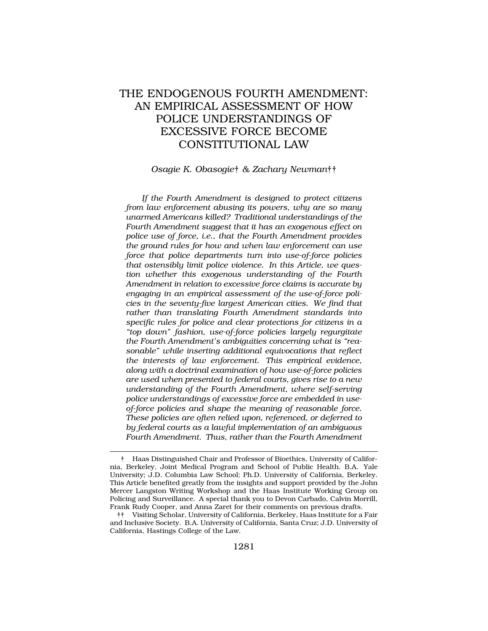# THE ENDOGENOUS FOURTH AMENDMENT: AN EMPIRICAL ASSESSMENT OF HOW POLICE UNDERSTANDINGS OF EXCESSIVE FORCE BECOME CONSTITUTIONAL LAW

#### *Osagie K. Obasogie*† *& Zachary Newman*††

*If the Fourth Amendment is designed to protect citizens from law enforcement abusing its powers, why are so many unarmed Americans killed? Traditional understandings of the Fourth Amendment suggest that it has an exogenous effect on police use of force, i.e., that the Fourth Amendment provides the ground rules for how and when law enforcement can use force that police departments turn into use-of-force policies that ostensibly limit police violence. In this Article, we question whether this exogenous understanding of the Fourth Amendment in relation to excessive force claims is accurate by engaging in an empirical assessment of the use-of-force policies in the seventy-five largest American cities. We find that rather than translating Fourth Amendment standards into specific rules for police and clear protections for citizens in a "top down" fashion, use-of-force policies largely regurgitate the Fourth Amendment's ambiguities concerning what is "reasonable" while inserting additional equivocations that reflect the interests of law enforcement. This empirical evidence, along with a doctrinal examination of how use-of-force policies are used when presented to federal courts, gives rise to a new understanding of the Fourth Amendment, where self-serving police understandings of excessive force are embedded in useof-force policies and shape the meaning of reasonable force. These policies are often relied upon, referenced, or deferred to by federal courts as a lawful implementation of an ambiguous Fourth Amendment. Thus, rather than the Fourth Amendment* 

<sup>†</sup> Haas Distinguished Chair and Professor of Bioethics, University of California, Berkeley, Joint Medical Program and School of Public Health. B.A. Yale University; J.D. Columbia Law School; Ph.D. University of California, Berkeley. This Article benefited greatly from the insights and support provided by the John Mercer Langston Writing Workshop and the Haas Institute Working Group on Policing and Surveillance. A special thank you to Devon Carbado, Calvin Morrill, Frank Rudy Cooper, and Anna Zaret for their comments on previous drafts.

<sup>††</sup> Visiting Scholar, University of California, Berkeley, Haas Institute for a Fair and Inclusive Society. B.A. University of California, Santa Cruz; J.D. University of California, Hastings College of the Law.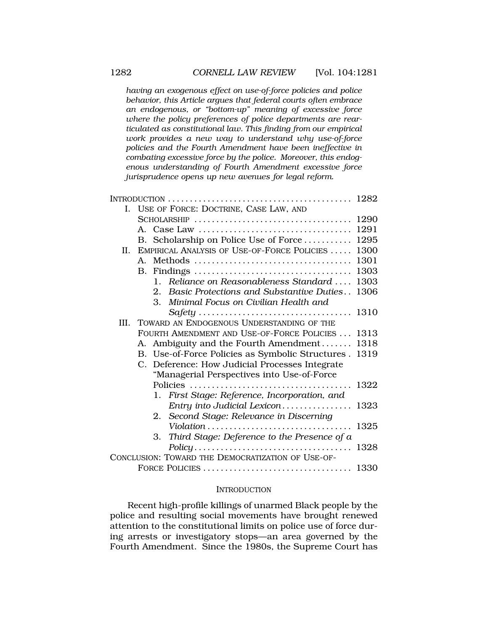*having an exogenous effect on use-of-force policies and police behavior, this Article argues that federal courts often embrace an endogenous, or "bottom-up" meaning of excessive force where the policy preferences of police departments are rearticulated as constitutional law. This finding from our empirical work provides a new way to understand why use-of-force policies and the Fourth Amendment have been ineffective in combating excessive force by the police. Moreover, this endogenous understanding of Fourth Amendment excessive force jurisprudence opens up new avenues for legal reform.* 

| L.                                                | USE OF FORCE: DOCTRINE, CASE LAW, AND |                                                                  |      |
|---------------------------------------------------|---------------------------------------|------------------------------------------------------------------|------|
|                                                   |                                       |                                                                  | 1290 |
|                                                   |                                       |                                                                  | 1291 |
|                                                   |                                       | B. Scholarship on Police Use of Force                            | 1295 |
| II.                                               |                                       | EMPIRICAL ANALYSIS OF USE-OF-FORCE POLICIES                      | 1300 |
|                                                   |                                       |                                                                  | 1301 |
|                                                   | B.                                    |                                                                  | 1303 |
|                                                   |                                       | Reliance on Reasonableness Standard<br>$\mathbf{1}_{\mathbf{1}}$ | 1303 |
|                                                   |                                       | Basic Protections and Substantive Duties<br>2.                   | 1306 |
|                                                   |                                       | 3.<br>Minimal Focus on Civilian Health and                       |      |
|                                                   |                                       |                                                                  | 1310 |
|                                                   |                                       | III. TOWARD AN ENDOGENOUS UNDERSTANDING OF THE                   |      |
|                                                   |                                       | FOURTH AMENDMENT AND USE-OF-FORCE POLICIES  1313                 |      |
|                                                   |                                       | A. Ambiguity and the Fourth Amendment 1318                       |      |
|                                                   |                                       | B. Use-of-Force Policies as Symbolic Structures . 1319           |      |
|                                                   | $\mathbf{C}$                          | Deference: How Judicial Processes Integrate                      |      |
|                                                   |                                       | "Managerial Perspectives into Use-of-Force                       |      |
|                                                   |                                       |                                                                  | 1322 |
|                                                   |                                       | 1. First Stage: Reference, Incorporation, and                    |      |
|                                                   |                                       | Entry into Judicial Lexicon                                      | 1323 |
|                                                   |                                       | 2. Second Stage: Relevance in Discerning                         |      |
|                                                   |                                       | Violation                                                        | 1325 |
|                                                   |                                       | Third Stage: Deference to the Presence of $a$<br>3.              |      |
|                                                   |                                       |                                                                  | 1328 |
| CONCLUSION: TOWARD THE DEMOCRATIZATION OF USE-OF- |                                       |                                                                  |      |
|                                                   |                                       |                                                                  |      |

#### **INTRODUCTION**

Recent high-profile killings of unarmed Black people by the police and resulting social movements have brought renewed attention to the constitutional limits on police use of force during arrests or investigatory stops—an area governed by the Fourth Amendment. Since the 1980s, the Supreme Court has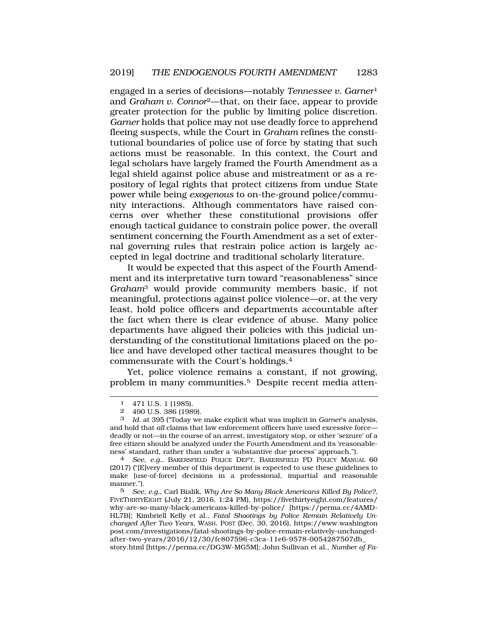engaged in a series of decisions—notably *Tennessee v. Garner*<sup>1</sup> and *Graham v. Connor*2—that, on their face, appear to provide greater protection for the public by limiting police discretion. *Garner* holds that police may not use deadly force to apprehend fleeing suspects, while the Court in *Graham* refines the constitutional boundaries of police use of force by stating that such actions must be reasonable. In this context, the Court and legal scholars have largely framed the Fourth Amendment as a legal shield against police abuse and mistreatment or as a repository of legal rights that protect citizens from undue State power while being *exogenous* to on-the-ground police/community interactions. Although commentators have raised concerns over whether these constitutional provisions offer enough tactical guidance to constrain police power, the overall sentiment concerning the Fourth Amendment as a set of external governing rules that restrain police action is largely accepted in legal doctrine and traditional scholarly literature.

It would be expected that this aspect of the Fourth Amendment and its interpretative turn toward "reasonableness" since *Graham*3 would provide community members basic, if not meaningful, protections against police violence—or, at the very least, hold police officers and departments accountable after the fact when there is clear evidence of abuse. Many police departments have aligned their policies with this judicial understanding of the constitutional limitations placed on the police and have developed other tactical measures thought to be commensurate with the Court's holdings.4

Yet, police violence remains a constant, if not growing, problem in many communities.5 Despite recent media atten-

(2017) ("[E]very member of this department is expected to use these guidelines to make [use-of-force] decisions in a professional, impartial and reasonable manner.").<br>5 See

5 *See, e.g.*, Carl Bialik, *Why Are So Many Black Americans Killed By Police?*, FIVETHIRTYEIGHT (July 21, 2016, 1:24 PM), https://fivethirtyeight.com/features/ why-are-so-many-black-americans-killed-by-police/ [https://perma.cc/4AMD-HL7B]; Kimbriell Kelly et al., *Fatal Shootings by Police Remain Relatively Unchanged After Two Years*, WASH. POST (Dec. 30, 2016), https://www.washington post.com/investigations/fatal-shootings-by-police-remain-relatively-unchangedafter-two-years/2016/12/30/fc807596-c3ca-11e6-9578-0054287507db\_ story.html [https://perma.cc/DG3W-MG5M]; John Sullivan et al., *Number of Fa-*

<sup>1 471</sup> U.S. 1 (1985).

<sup>2 490</sup> U.S. 386 (1989).

<sup>3</sup> *Id.* at 395 ("Today we make explicit what was implicit in *Garner*'s analysis, and hold that *all* claims that law enforcement officers have used excessive force deadly or not—in the course of an arrest, investigatory stop, or other 'seizure' of a free citizen should be analyzed under the Fourth Amendment and its 'reasonableness' standard, rather than under a 'substantive due process' approach."). 4 *See, e.g.*, BAKERSFIELD POLICE DEP'T, BAKERSFIELD PD POLICY MANUAL 60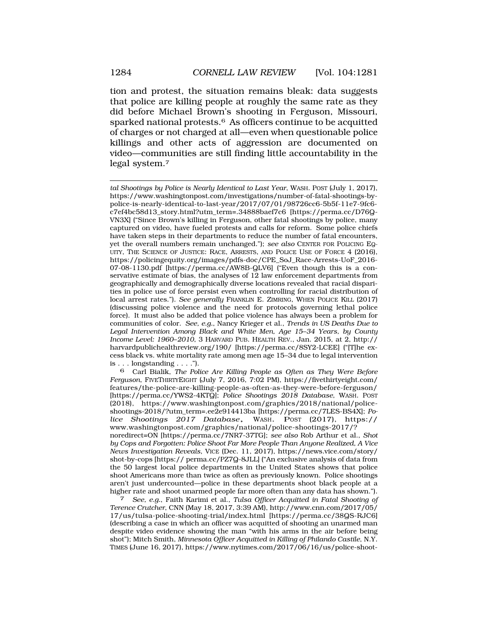tion and protest, the situation remains bleak: data suggests that police are killing people at roughly the same rate as they did before Michael Brown's shooting in Ferguson, Missouri, sparked national protests.<sup>6</sup> As officers continue to be acquitted of charges or not charged at all—even when questionable police killings and other acts of aggression are documented on video—communities are still finding little accountability in the legal system.7

*tal Shootings by Police is Nearly Identical to Last Year*, WASH. POST (July 1, 2017), https://www.washingtonpost.com/investigations/number-of-fatal-shootings-bypolice-is-nearly-identical-to-last-year/2017/07/01/98726cc6-5b5f-11e7-9fc6 c7ef4bc58d13\_story.html?utm\_term=.34888baef7c6 [https://perma.cc/D76Q-VN3X] ("Since Brown's killing in Ferguson, other fatal shootings by police, many captured on video, have fueled protests and calls for reform. Some police chiefs have taken steps in their departments to reduce the number of fatal encounters, yet the overall numbers remain unchanged."); *see also* CENTER FOR POLICING EQ-UITY, THE SCIENCE OF JUSTICE: RACE, ARRESTS, AND POLICE USE OF FORCE 4 (2016), https://policingequity.org/images/pdfs-doc/CPE\_SoJ\_Race-Arrests-UoF\_2016- 07-08-1130.pdf [https://perma.cc/AW8B-QLV6] ("Even though this is a conservative estimate of bias, the analyses of 12 law enforcement departments from geographically and demographically diverse locations revealed that racial disparities in police use of force persist even when controlling for racial distribution of local arrest rates."). *See generally* FRANKLIN E. ZIMRING, WHEN POLICE KILL (2017) (discussing police violence and the need for protocols governing lethal police force). It must also be added that police violence has always been a problem for communities of color. *See, e.g.*, Nancy Krieger et al., *Trends in US Deaths Due to Legal Intervention Among Black and White Men, Age 15*–*34 Years, by County Income Level: 1960*–*2010*, 3 HARVARD PUB. HEALTH REV., Jan. 2015, at 2, http:// harvardpublichealthreview.org/190/ [https://perma.cc/8SY2-LCEE] ("[T]he excess black vs. white mortality rate among men age 15–34 due to legal intervention is . . . longstanding . . . .").

6 Carl Bialik, *The Police Are Killing People as Often as They Were Before Ferguson*, FIVETHIRTYEIGHT (July 7, 2016, 7:02 PM), https://fivethirtyeight.com/ features/the-police-are-killing-people-as-often-as-they-were-before-ferguson/ [https://perma.cc/YWS2-4KTQ]; *Police Shootings 2018 Database*, WASH. POST (2018), https://www.washingtonpost.com/graphics/2018/national/policeshootings-2018/?utm\_term=.ee2e914413ba [https://perma.cc/7LES-BS4X]; *Po-lice Shootings 2017 Database*, WASH. POST (2017), https:// www.washingtonpost.com/graphics/national/police-shootings-2017/? noredirect=ON [https://perma.cc/7NR7-37TG]; *see also* Rob Arthur et al., *Shot by Cops and Forgotten: Police Shoot Far More People Than Anyone Realized, A Vice News Investigation Reveals*, VICE (Dec. 11, 2017), https://news.vice.com/story/ shot-by-cops [https:// perma.cc/PZ7Q-8JLL] ("An exclusive analysis of data from the 50 largest local police departments in the United States shows that police shoot Americans more than twice as often as previously known. Police shootings aren't just undercounted—police in these departments shoot black people at a

higher rate and shoot unarmed people far more often than any data has shown."). 7 *See, e.g.*, Faith Karimi et al., *Tulsa Officer Acquitted in Fatal Shooting of Terence Crutcher*, CNN (May 18, 2017, 3:39 AM), http://www.cnn.com/2017/05/ 17/us/tulsa-police-shooting-trial/index.html [https://perma.cc/38QS-RJC6] (describing a case in which an officer was acquitted of shooting an unarmed man despite video evidence showing the man "with his arms in the air before being shot"); Mitch Smith, *Minnesota Officer Acquitted in Killing of Philando Castile*, N.Y. TIMES (June 16, 2017), https://www.nytimes.com/2017/06/16/us/police-shoot-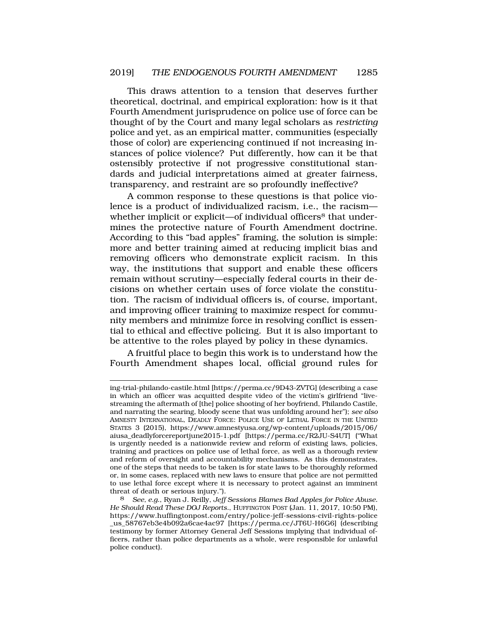This draws attention to a tension that deserves further theoretical, doctrinal, and empirical exploration: how is it that Fourth Amendment jurisprudence on police use of force can be thought of by the Court and many legal scholars as *restricting*  police and yet, as an empirical matter, communities (especially those of color) are experiencing continued if not increasing instances of police violence? Put differently, how can it be that ostensibly protective if not progressive constitutional standards and judicial interpretations aimed at greater fairness, transparency, and restraint are so profoundly ineffective?

A common response to these questions is that police violence is a product of individualized racism, i.e., the racism whether implicit or explicit—of individual officers<sup>8</sup> that undermines the protective nature of Fourth Amendment doctrine. According to this "bad apples" framing, the solution is simple: more and better training aimed at reducing implicit bias and removing officers who demonstrate explicit racism. In this way, the institutions that support and enable these officers remain without scrutiny—especially federal courts in their decisions on whether certain uses of force violate the constitution. The racism of individual officers is, of course, important, and improving officer training to maximize respect for community members and minimize force in resolving conflict is essential to ethical and effective policing. But it is also important to be attentive to the roles played by policy in these dynamics.

A fruitful place to begin this work is to understand how the Fourth Amendment shapes local, official ground rules for

ing-trial-philando-castile.html [https://perma.cc/9D43-ZVTG] (describing a case in which an officer was acquitted despite video of the victim's girlfriend "livestreaming the aftermath of [the] police shooting of her boyfriend, Philando Castile, and narrating the searing, bloody scene that was unfolding around her"); *see also*  AMNESTY INTERNATIONAL, DEADLY FORCE: POLICE USE OF LETHAL FORCE IN THE UNITED STATES 3 (2015), https://www.amnestyusa.org/wp-content/uploads/2015/06/ aiusa\_deadlyforcereportjune2015-1.pdf [https://perma.cc/R2JU-S4UT] ("What is urgently needed is a nationwide review and reform of existing laws, policies, training and practices on police use of lethal force, as well as a thorough review and reform of oversight and accountability mechanisms. As this demonstrates, one of the steps that needs to be taken is for state laws to be thoroughly reformed or, in some cases, replaced with new laws to ensure that police are not permitted to use lethal force except where it is necessary to protect against an imminent threat of death or serious injury.").

<sup>8</sup> *See, e.g.*, Ryan J. Reilly, *Jeff Sessions Blames Bad Apples for Police Abuse. He Should Read These DOJ Reports.*, HUFFINGTON POST (Jan. 11, 2017, 10:50 PM), https://www.huffingtonpost.com/entry/police-jeff-sessions-civil-rights-police \_us\_58767eb3e4b092a6cae4ac97 [https://perma.cc/JT6U-H6G6] (describing testimony by former Attorney General Jeff Sessions implying that individual officers, rather than police departments as a whole, were responsible for unlawful police conduct).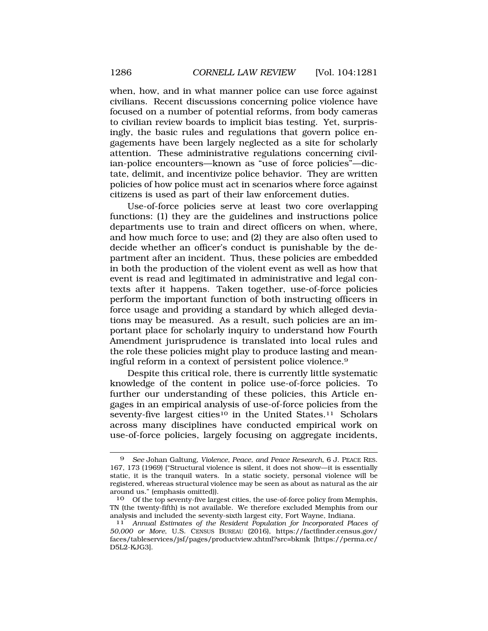when, how, and in what manner police can use force against civilians. Recent discussions concerning police violence have focused on a number of potential reforms, from body cameras to civilian review boards to implicit bias testing. Yet, surprisingly, the basic rules and regulations that govern police engagements have been largely neglected as a site for scholarly attention. These administrative regulations concerning civilian-police encounters—known as "use of force policies"—dictate, delimit, and incentivize police behavior. They are written policies of how police must act in scenarios where force against citizens is used as part of their law enforcement duties.

Use-of-force policies serve at least two core overlapping functions: (1) they are the guidelines and instructions police departments use to train and direct officers on when, where, and how much force to use; and (2) they are also often used to decide whether an officer's conduct is punishable by the department after an incident. Thus, these policies are embedded in both the production of the violent event as well as how that event is read and legitimated in administrative and legal contexts after it happens. Taken together, use-of-force policies perform the important function of both instructing officers in force usage and providing a standard by which alleged deviations may be measured. As a result, such policies are an important place for scholarly inquiry to understand how Fourth Amendment jurisprudence is translated into local rules and the role these policies might play to produce lasting and meaningful reform in a context of persistent police violence.9

Despite this critical role, there is currently little systematic knowledge of the content in police use-of-force policies. To further our understanding of these policies, this Article engages in an empirical analysis of use-of-force policies from the seventy-five largest cities<sup>10</sup> in the United States.<sup>11</sup> Scholars across many disciplines have conducted empirical work on use-of-force policies, largely focusing on aggregate incidents,

<sup>9</sup> *See* Johan Galtung, *Violence, Peace, and Peace Research*, 6 J. PEACE RES. 167, 173 (1969) ("Structural violence is silent, it does not show—it is essentially static, it is the tranquil waters. In a static society, personal violence will be registered, whereas structural violence may be seen as about as natural as the air around us." (emphasis omitted)).

<sup>10</sup> Of the top seventy-five largest cities, the use-of-force policy from Memphis, TN (the twenty-fifth) is not available. We therefore excluded Memphis from our analysis and included the seventy-sixth largest city, Fort Wayne, Indiana.

<sup>11</sup> *Annual Estimates of the Resident Population for Incorporated Places of 50,000 or More*, U.S. CENSUS BUREAU (2016), https://factfinder.census.gov/ faces/tableservices/jsf/pages/productview.xhtml?src=bkmk [https://perma.cc/ D5L2-KJG3].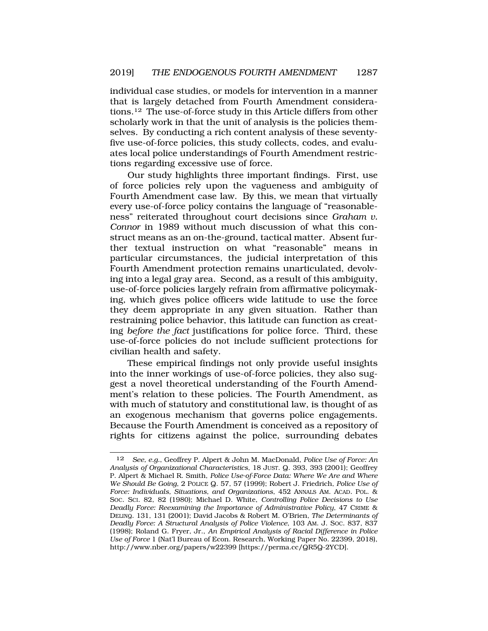individual case studies, or models for intervention in a manner that is largely detached from Fourth Amendment considerations.12 The use-of-force study in this Article differs from other scholarly work in that the unit of analysis is the policies themselves. By conducting a rich content analysis of these seventyfive use-of-force policies, this study collects, codes, and evaluates local police understandings of Fourth Amendment restrictions regarding excessive use of force.

Our study highlights three important findings. First, use of force policies rely upon the vagueness and ambiguity of Fourth Amendment case law. By this, we mean that virtually every use-of-force policy contains the language of "reasonableness" reiterated throughout court decisions since *Graham v. Connor* in 1989 without much discussion of what this construct means as an on-the-ground, tactical matter. Absent further textual instruction on what "reasonable" means in particular circumstances, the judicial interpretation of this Fourth Amendment protection remains unarticulated, devolving into a legal gray area. Second, as a result of this ambiguity, use-of-force policies largely refrain from affirmative policymaking, which gives police officers wide latitude to use the force they deem appropriate in any given situation. Rather than restraining police behavior, this latitude can function as creating *before the fact* justifications for police force. Third, these use-of-force policies do not include sufficient protections for civilian health and safety.

These empirical findings not only provide useful insights into the inner workings of use-of-force policies, they also suggest a novel theoretical understanding of the Fourth Amendment's relation to these policies. The Fourth Amendment, as with much of statutory and constitutional law, is thought of as an exogenous mechanism that governs police engagements. Because the Fourth Amendment is conceived as a repository of rights for citizens against the police, surrounding debates

<sup>12</sup> *See, e.g.*, Geoffrey P. Alpert & John M. MacDonald, *Police Use of Force: An Analysis of Organizational Characteristics*, 18 JUST. Q. 393, 393 (2001); Geoffrey P. Alpert & Michael R. Smith, *Police Use-of-Force Data: Where We Are and Where We Should Be Going*, 2 POLICE Q. 57, 57 (1999); Robert J. Friedrich, *Police Use of Force: Individuals, Situations, and Organizations*, 452 ANNALS AM. ACAD. POL. & SOC. SCI. 82, 82 (1980); Michael D. White, *Controlling Police Decisions to Use Deadly Force: Reexamining the Importance of Administrative Policy*, 47 CRIME & DELINQ. 131, 131 (2001); David Jacobs & Robert M. O'Brien, *The Determinants of Deadly Force: A Structural Analysis of Police Violence*, 103 AM. J. SOC. 837, 837 (1998); Roland G. Fryer, Jr., *An Empirical Analysis of Racial Difference in Police Use of Force* 1 (Nat'l Bureau of Econ. Research, Working Paper No. 22399, 2018), http://www.nber.org/papers/w22399 [https://perma.cc/QR5Q-2YCD].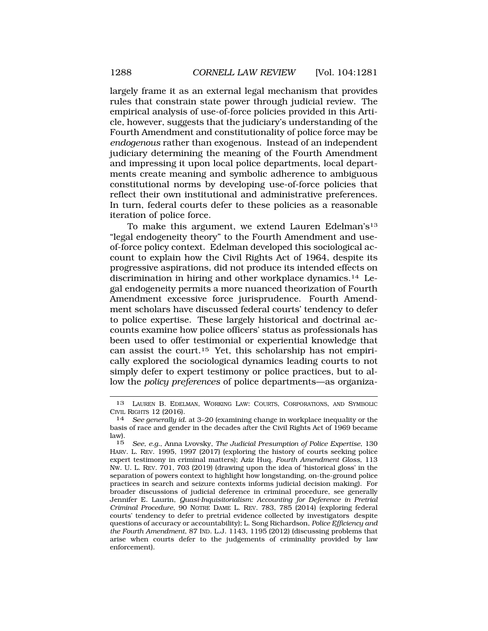largely frame it as an external legal mechanism that provides rules that constrain state power through judicial review. The empirical analysis of use-of-force policies provided in this Article, however, suggests that the judiciary's understanding of the Fourth Amendment and constitutionality of police force may be *endogenous* rather than exogenous. Instead of an independent judiciary determining the meaning of the Fourth Amendment and impressing it upon local police departments, local departments create meaning and symbolic adherence to ambiguous constitutional norms by developing use-of-force policies that reflect their own institutional and administrative preferences. In turn, federal courts defer to these policies as a reasonable iteration of police force.

To make this argument, we extend Lauren Edelman's13 "legal endogeneity theory" to the Fourth Amendment and useof-force policy context. Edelman developed this sociological account to explain how the Civil Rights Act of 1964, despite its progressive aspirations, did not produce its intended effects on discrimination in hiring and other workplace dynamics.14 Legal endogeneity permits a more nuanced theorization of Fourth Amendment excessive force jurisprudence. Fourth Amendment scholars have discussed federal courts' tendency to defer to police expertise. These largely historical and doctrinal accounts examine how police officers' status as professionals has been used to offer testimonial or experiential knowledge that can assist the court.15 Yet, this scholarship has not empirically explored the sociological dynamics leading courts to not simply defer to expert testimony or police practices, but to allow the *policy preferences* of police departments—as organiza-

<sup>13</sup> LAUREN B. EDELMAN, WORKING LAW: COURTS, CORPORATIONS, AND SYMBOLIC CIVIL RIGHTS 12 (2016). 14 *See generally id.* at 3–20 (examining change in workplace inequality or the

basis of race and gender in the decades after the Civil Rights Act of 1969 became law).

<sup>15</sup> *See, e.g.*, Anna Lvovsky, *The Judicial Presumption of Police Expertise*, 130 HARV. L. REV. 1995, 1997 (2017) (exploring the history of courts seeking police expert testimony in criminal matters); Aziz Huq, *Fourth Amendment Gloss*, 113 NW. U. L. REV. 701, 703 (2019) (drawing upon the idea of 'historical gloss' in the separation of powers context to highlight how longstanding, on-the-ground police practices in search and seizure contexts informs judicial decision making). For broader discussions of judicial deference in criminal procedure, see generally Jennifer E. Laurin, *Quasi-Inquisitorialism: Accounting for Deference in Pretrial Criminal Procedure*, 90 NOTRE DAME L. REV. 783, 785 (2014) (exploring federal courts' tendency to defer to pretrial evidence collected by investigators despite questions of accuracy or accountability); L. Song Richardson, *Police Efficiency and the Fourth Amendment*, 87 IND. L.J. 1143, 1195 (2012) (discussing problems that arise when courts defer to the judgements of criminality provided by law enforcement).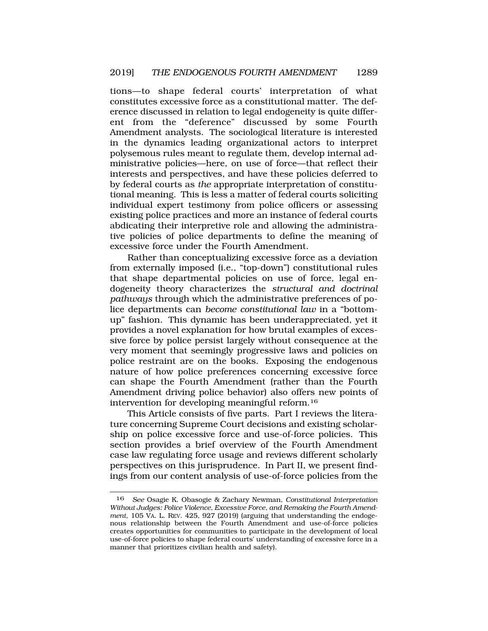tions—to shape federal courts' interpretation of what constitutes excessive force as a constitutional matter. The deference discussed in relation to legal endogeneity is quite different from the "deference" discussed by some Fourth Amendment analysts. The sociological literature is interested in the dynamics leading organizational actors to interpret polysemous rules meant to regulate them, develop internal administrative policies—here, on use of force—that reflect their interests and perspectives, and have these policies deferred to by federal courts as *the* appropriate interpretation of constitutional meaning. This is less a matter of federal courts soliciting individual expert testimony from police officers or assessing existing police practices and more an instance of federal courts abdicating their interpretive role and allowing the administrative policies of police departments to define the meaning of excessive force under the Fourth Amendment.

Rather than conceptualizing excessive force as a deviation from externally imposed (i.e., "top-down") constitutional rules that shape departmental policies on use of force, legal endogeneity theory characterizes the *structural and doctrinal pathways* through which the administrative preferences of police departments can *become constitutional law* in a "bottomup" fashion. This dynamic has been underappreciated, yet it provides a novel explanation for how brutal examples of excessive force by police persist largely without consequence at the very moment that seemingly progressive laws and policies on police restraint are on the books. Exposing the endogenous nature of how police preferences concerning excessive force can shape the Fourth Amendment (rather than the Fourth Amendment driving police behavior) also offers new points of intervention for developing meaningful reform.16

This Article consists of five parts. Part I reviews the literature concerning Supreme Court decisions and existing scholarship on police excessive force and use-of-force policies. This section provides a brief overview of the Fourth Amendment case law regulating force usage and reviews different scholarly perspectives on this jurisprudence. In Part II, we present findings from our content analysis of use-of-force policies from the

<sup>16</sup> *See* Osagie K. Obasogie & Zachary Newman, *Constitutional Interpretation Without Judges: Police Violence, Excessive Force, and Remaking the Fourth Amendment*, 105 VA. L. REV. 425, 927 (2019) (arguing that understanding the endogenous relationship between the Fourth Amendment and use-of-force policies creates opportunities for communities to participate in the development of local use-of-force policies to shape federal courts' understanding of excessive force in a manner that prioritizes civilian health and safety).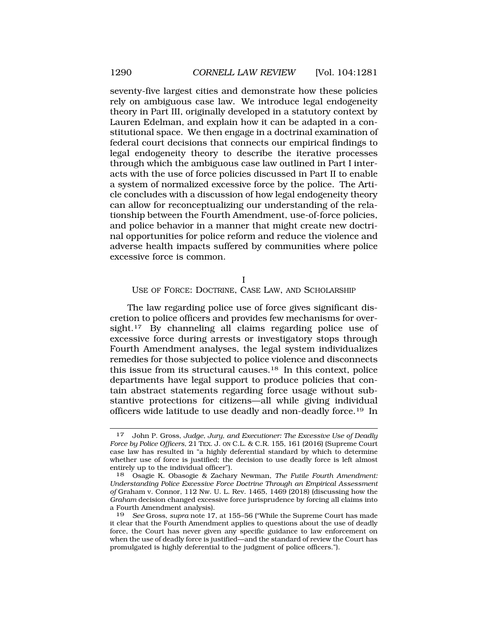<span id="page-9-0"></span>seventy-five largest cities and demonstrate how these policies rely on ambiguous case law. We introduce legal endogeneity theory in Part III, originally developed in a statutory context by Lauren Edelman, and explain how it can be adapted in a constitutional space. We then engage in a doctrinal examination of federal court decisions that connects our empirical findings to legal endogeneity theory to describe the iterative processes through which the ambiguous case law outlined in Part I interacts with the use of force policies discussed in Part II to enable a system of normalized excessive force by the police. The Article concludes with a discussion of how legal endogeneity theory can allow for reconceptualizing our understanding of the relationship between the Fourth Amendment, use-of-force policies, and police behavior in a manner that might create new doctrinal opportunities for police reform and reduce the violence and adverse health impacts suffered by communities where police excessive force is common.

I

USE OF FORCE: DOCTRINE, CASE LAW, AND SCHOLARSHIP

The law regarding police use of force gives significant discretion to police officers and provides few mechanisms for oversight.<sup>17</sup> By channeling all claims regarding police use of excessive force during arrests or investigatory stops through Fourth Amendment analyses, the legal system individualizes remedies for those subjected to police violence and disconnects this issue from its structural causes.18 In this context, police departments have legal support to produce policies that contain abstract statements regarding force usage without substantive protections for citizens—all while giving individual officers wide latitude to use deadly and non-deadly force.19 In

<sup>17</sup> John P. Gross, *Judge, Jury, and Executioner: The Excessive Use of Deadly Force by Police Officers*, 21 TEX. J. ON C.L. & C.R. 155, 161 (2016) (Supreme Court case law has resulted in "a highly deferential standard by which to determine whether use of force is justified; the decision to use deadly force is left almost entirely up to the individual officer").<br> $18$  Osagie K. Obasogie & Zachar

<sup>18</sup> Osagie K. Obasogie & Zachary Newman, *The Futile Fourth Amendment: Understanding Police Excessive Force Doctrine Through an Empirical Assessment of* Graham v. Connor, 112 Nw. U. L. Rev. 1465, 1469 (2018) (discussing how the *Graham* decision changed excessive force jurisprudence by forcing all claims into a Fourth Amendment analysis).

<sup>19</sup> *See* Gross, *supra* note 17, at 155–56 ("While the Supreme Court has made it clear that the Fourth Amendment applies to questions about the use of deadly force, the Court has never given any specific guidance to law enforcement on when the use of deadly force is justified—and the standard of review the Court has promulgated is highly deferential to the judgment of police officers.").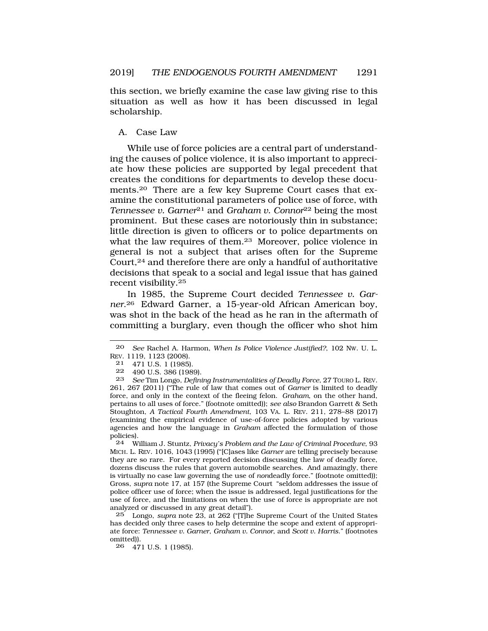<span id="page-10-0"></span>this section, we briefly examine the case law giving rise to this situation as well as how it has been discussed in legal scholarship.

### A. Case Law

While use of force policies are a central part of understanding the causes of police violence, it is also important to appreciate how these policies are supported by legal precedent that creates the conditions for departments to develop these documents.20 There are a few key Supreme Court cases that examine the constitutional parameters of police use of force, with *Tennessee v. Garner*<sup>21</sup> and *Graham v. Connor*<sup>22</sup> being the most prominent. But these cases are notoriously thin in substance; little direction is given to officers or to police departments on what the law requires of them.23 Moreover, police violence in general is not a subject that arises often for the Supreme Court,24 and therefore there are only a handful of authoritative decisions that speak to a social and legal issue that has gained recent visibility.25

In 1985, the Supreme Court decided *Tennessee v. Garner*.26 Edward Garner, a 15-year-old African American boy, was shot in the back of the head as he ran in the aftermath of committing a burglary, even though the officer who shot him

24 William J. Stuntz, *Privacy's Problem and the Law of Criminal Procedure*, 93 MICH. L. REV. 1016, 1043 (1995) ("[C]ases like *Garner* are telling precisely because they are so rare. For every reported decision discussing the law of deadly force, dozens discuss the rules that govern automobile searches. And amazingly, there is virtually no case law governing the use of *non*deadly force." (footnote omitted)); Gross, *supra* note 17, at 157 (the Supreme Court "seldom addresses the issue of police officer use of force; when the issue is addressed, legal justifications for the use of force, and the limitations on when the use of force is appropriate are not analyzed or discussed in any great detail").

25 Longo, *supra* note 23, at 262 ("[T]he Supreme Court of the United States has decided only three cases to help determine the scope and extent of appropriate force: *Tennessee v. Garner*, *Graham v. Connor*, and *Scott v. Harris*." (footnotes omitted)).

26 471 U.S. 1 (1985).

<sup>20</sup> *See* Rachel A. Harmon, *When Is Police Violence Justified?*, 102 NW. U. L. REV. 1119, 1123 (2008).

<sup>21 471</sup> U.S. 1 (1985).<br>22 490 U.S. 386 (198

<sup>22 490</sup> U.S. 386 (1989).<br>23 See Tim Longo, Defini

<sup>23</sup> *See* Tim Longo, *Defining Instrumentalities of Deadly Force*, 27 TOURO L. REV. 261, 267 (2011) ("The rule of law that comes out of *Garner* is limited to deadly force, and only in the context of the fleeing felon. *Graham*, on the other hand, pertains to all uses of force." (footnote omitted)); *see also* Brandon Garrett & Seth Stoughton, *A Tactical Fourth Amendment*, 103 VA. L. REV. 211, 278–88 (2017) (examining the empirical evidence of use-of-force policies adopted by various agencies and how the language in *Graham* affected the formulation of those policies).<br>24 W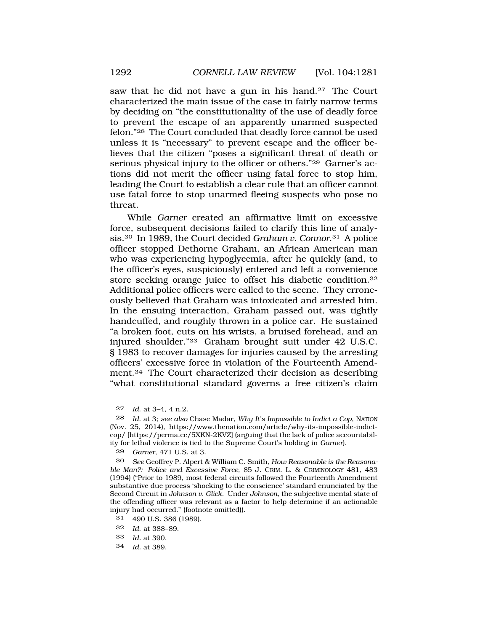saw that he did not have a gun in his hand.27 The Court characterized the main issue of the case in fairly narrow terms by deciding on "the constitutionality of the use of deadly force to prevent the escape of an apparently unarmed suspected felon."28 The Court concluded that deadly force cannot be used unless it is "necessary" to prevent escape and the officer believes that the citizen "poses a significant threat of death or serious physical injury to the officer or others."29 Garner's actions did not merit the officer using fatal force to stop him, leading the Court to establish a clear rule that an officer cannot use fatal force to stop unarmed fleeing suspects who pose no threat.

While *Garner* created an affirmative limit on excessive force, subsequent decisions failed to clarify this line of analysis.30 In 1989, the Court decided *Graham v. Connor*.31 A police officer stopped Dethorne Graham, an African American man who was experiencing hypoglycemia, after he quickly (and, to the officer's eyes, suspiciously) entered and left a convenience store seeking orange juice to offset his diabetic condition.32 Additional police officers were called to the scene. They erroneously believed that Graham was intoxicated and arrested him. In the ensuing interaction, Graham passed out, was tightly handcuffed, and roughly thrown in a police car. He sustained "a broken foot, cuts on his wrists, a bruised forehead, and an injured shoulder."33 Graham brought suit under 42 U.S.C. § 1983 to recover damages for injuries caused by the arresting officers' excessive force in violation of the Fourteenth Amendment.34 The Court characterized their decision as describing "what constitutional standard governs a free citizen's claim

33 *Id.* at 390.

<sup>27</sup> *Id*. at 3–4, 4 n.2.

<sup>28</sup> *Id*. at 3; *see also* Chase Madar, *Why It's Impossible to Indict a Cop*, NATION (Nov. 25, 2014), https://www.thenation.com/article/why-its-impossible-indictcop/ [https://perma.cc/5XKN-2KVZ] (arguing that the lack of police accountability for lethal violence is tied to the Supreme Court's holding in *Garner*).

<sup>29</sup> *Garner*, 471 U.S. at 3.

<sup>30</sup> *See* Geoffrey P. Alpert & William C. Smith, *How Reasonable is the Reasonable Man?: Police and Excessive Force*, 85 J. CRIM. L. & CRIMINOLOGY 481, 483 (1994) ("Prior to 1989, most federal circuits followed the Fourteenth Amendment substantive due process 'shocking to the conscience' standard enunciated by the Second Circuit in *Johnson v. Glick*. Under *Johnson*, the subjective mental state of the offending officer was relevant as a factor to help determine if an actionable injury had occurred." (footnote omitted)).

<sup>31 490</sup> U.S. 386 (1989).

<sup>32</sup> *Id*. at 388–89.

<sup>34</sup> *Id.* at 389.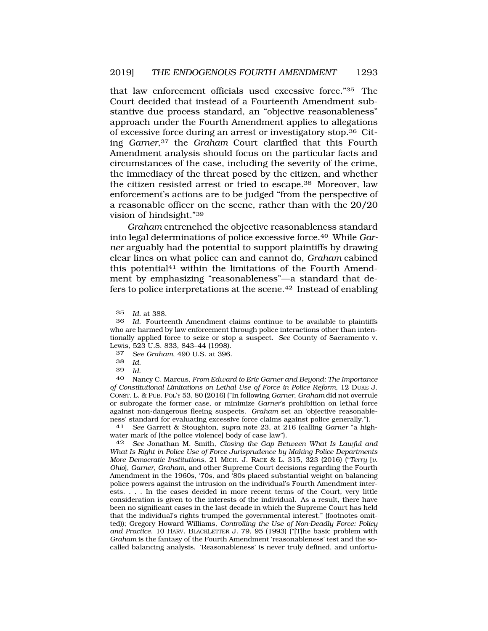that law enforcement officials used excessive force."35 The Court decided that instead of a Fourteenth Amendment substantive due process standard, an "objective reasonableness" approach under the Fourth Amendment applies to allegations of excessive force during an arrest or investigatory stop.36 Citing *Garner*,37 the *Graham* Court clarified that this Fourth Amendment analysis should focus on the particular facts and circumstances of the case, including the severity of the crime, the immediacy of the threat posed by the citizen, and whether the citizen resisted arrest or tried to escape.38 Moreover, law enforcement's actions are to be judged "from the perspective of a reasonable officer on the scene, rather than with the 20/20 vision of hindsight."39

*Graham* entrenched the objective reasonableness standard into legal determinations of police excessive force.40 While *Garner* arguably had the potential to support plaintiffs by drawing clear lines on what police can and cannot do, *Graham* cabined this potential<sup>41</sup> within the limitations of the Fourth Amendment by emphasizing "reasonableness"—a standard that defers to police interpretations at the scene.42 Instead of enabling

37 *See Graham*, 490 U.S. at 396.

41 *See* Garrett & Stoughton, *supra* note 23, at 216 (calling *Garner* "a highwater mark of [the police violence] body of case law").

42 *See* Jonathan M. Smith, *Closing the Gap Between What Is Lawful and What Is Right in Police Use of Force Jurisprudence by Making Police Departments More Democratic Institutions*, 21 MICH. J. RACE & L. 315, 323 (2016) ("*Terry* [*v. Ohio*], *Garner*, *Graham*, and other Supreme Court decisions regarding the Fourth Amendment in the 1960s, '70s, and '80s placed substantial weight on balancing police powers against the intrusion on the individual's Fourth Amendment interests. . . . In the cases decided in more recent terms of the Court, very little consideration is given to the interests of the individual. As a result, there have been no significant cases in the last decade in which the Supreme Court has held that the individual's rights trumped the governmental interest." (footnotes omitted)); Gregory Howard Williams, *Controlling the Use of Non-Deadly Force: Policy and Practice*, 10 HARV. BLACKLETTER J. 79, 95 (1993) ("[T]he basic problem with *Graham* is the fantasy of the Fourth Amendment 'reasonableness' test and the socalled balancing analysis. 'Reasonableness' is never truly defined, and unfortu-

<sup>35</sup> *Id.* at 388.

<sup>36</sup> *Id.* Fourteenth Amendment claims continue to be available to plaintiffs who are harmed by law enforcement through police interactions other than intentionally applied force to seize or stop a suspect. *See* County of Sacramento v. Lewis, 523 U.S. 833, 843–44 (1998).

<sup>38</sup> *Id.* 

<sup>39</sup> *Id*.

<sup>40</sup> Nancy C. Marcus, *From Edward to Eric Garner and Beyond: The Importance of Constitutional Limitations on Lethal Use of Force in Police Reform*, 12 DUKE J. CONST. L. & PUB. POL'Y 53, 80 (2016) ("In following *Garner*, *Graham* did not overrule or subrogate the former case, or minimize *Garner*'s prohibition on lethal force against non-dangerous fleeing suspects. *Graham* set an 'objective reasonableness' standard for evaluating excessive force claims against police generally.").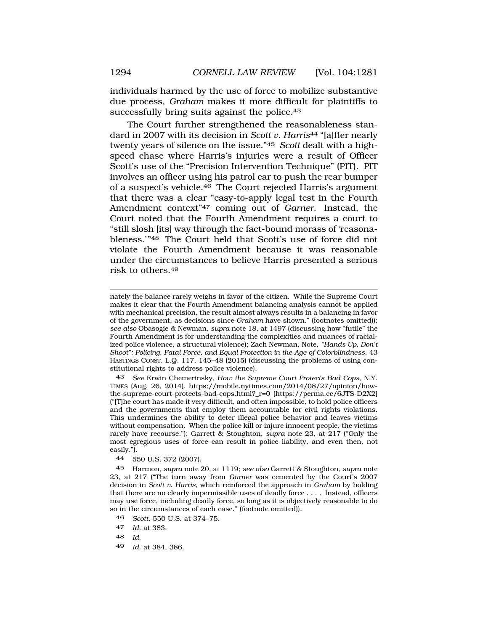individuals harmed by the use of force to mobilize substantive due process, *Graham* makes it more difficult for plaintiffs to successfully bring suits against the police.<sup>43</sup>

The Court further strengthened the reasonableness standard in 2007 with its decision in *Scott v. Harris*44 "[a]fter nearly twenty years of silence on the issue."45 *Scott* dealt with a highspeed chase where Harris's injuries were a result of Officer Scott's use of the "Precision Intervention Technique" (PIT). PIT involves an officer using his patrol car to push the rear bumper of a suspect's vehicle.46 The Court rejected Harris's argument that there was a clear "easy-to-apply legal test in the Fourth Amendment context"47 coming out of *Garner*. Instead, the Court noted that the Fourth Amendment requires a court to "still slosh [its] way through the fact-bound morass of 'reasonableness.'"48 The Court held that Scott's use of force did not violate the Fourth Amendment because it was reasonable under the circumstances to believe Harris presented a serious risk to others.49

nately the balance rarely weighs in favor of the citizen. While the Supreme Court makes it clear that the Fourth Amendment balancing analysis cannot be applied with mechanical precision, the result almost always results in a balancing in favor of the government, as decisions since *Graham* have shown." (footnotes omitted)); *see also* Obasogie & Newman, *supra* note 18, at 1497 (discussing how "futile" the Fourth Amendment is for understanding the complexities and nuances of racialized police violence, a structural violence); Zach Newman, Note, *"Hands Up, Don't Shoot": Policing, Fatal Force, and Equal Protection in the Age of Colorblindness*, 43 HASTINGS CONST. L.Q. 117, 145–48 (2015) (discussing the problems of using constitutional rights to address police violence).

43 *See* Erwin Chemerinsky, *How the Supreme Court Protects Bad Cops*, N.Y. TIMES (Aug. 26, 2014), https://mobile.nytimes.com/2014/08/27/opinion/howthe-supreme-court-protects-bad-cops.html?\_r=0 [https://perma.cc/6JTS-D2X2] ("[T]he court has made it very difficult, and often impossible, to hold police officers and the governments that employ them accountable for civil rights violations. This undermines the ability to deter illegal police behavior and leaves victims without compensation. When the police kill or injure innocent people, the victims rarely have recourse."); Garrett & Stoughton, *supra* note 23, at 217 ("Only the most egregious uses of force can result in police liability, and even then, not easily.").

44 550 U.S. 372 (2007).

45 Harmon, *supra* note 20, at 1119; *see also* Garrett & Stoughton, *supra* note 23, at 217 ("The turn away from *Garner* was cemented by the Court's 2007 decision in *Scott v. Harris*, which reinforced the approach in *Graham* by holding that there are no clearly impermissible uses of deadly force . . . . Instead, officers may use force, including deadly force, so long as it is objectively reasonable to do so in the circumstances of each case." (footnote omitted)).

- 46 *Scott*, 550 U.S. at 374–75.
- 47 *Id*. at 383.
- 48 *Id*.
- 49 *Id*. at 384, 386.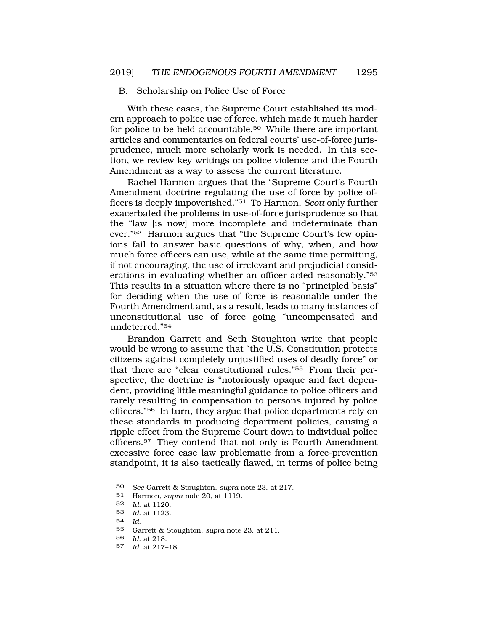#### B. Scholarship on Police Use of Force

With these cases, the Supreme Court established its modern approach to police use of force, which made it much harder for police to be held accountable.50 While there are important articles and commentaries on federal courts' use-of-force jurisprudence, much more scholarly work is needed. In this section, we review key writings on police violence and the Fourth Amendment as a way to assess the current literature.

Rachel Harmon argues that the "Supreme Court's Fourth Amendment doctrine regulating the use of force by police officers is deeply impoverished."51 To Harmon, *Scott* only further exacerbated the problems in use-of-force jurisprudence so that the "law [is now] more incomplete and indeterminate than ever."52 Harmon argues that "the Supreme Court's few opinions fail to answer basic questions of why, when, and how much force officers can use, while at the same time permitting, if not encouraging, the use of irrelevant and prejudicial considerations in evaluating whether an officer acted reasonably."53 This results in a situation where there is no "principled basis" for deciding when the use of force is reasonable under the Fourth Amendment and, as a result, leads to many instances of unconstitutional use of force going "uncompensated and undeterred."54

Brandon Garrett and Seth Stoughton write that people would be wrong to assume that "the U.S. Constitution protects citizens against completely unjustified uses of deadly force" or that there are "clear constitutional rules."55 From their perspective, the doctrine is "notoriously opaque and fact dependent, providing little meaningful guidance to police officers and rarely resulting in compensation to persons injured by police officers."56 In turn, they argue that police departments rely on these standards in producing department policies, causing a ripple effect from the Supreme Court down to individual police officers.57 They contend that not only is Fourth Amendment excessive force case law problematic from a force-prevention standpoint, it is also tactically flawed, in terms of police being

54 *Id*.

<sup>50</sup> *See* Garrett & Stoughton, *supra* note 23, at 217.

<sup>51</sup> Harmon, *supra* note 20, at 1119.

<sup>52</sup> *Id*. at 1120.

<sup>53</sup> *Id*. at 1123.

<sup>55</sup> Garrett & Stoughton, *supra* note 23, at 211.

<sup>56</sup> *Id*. at 218.

<sup>57</sup> *Id*. at 217–18.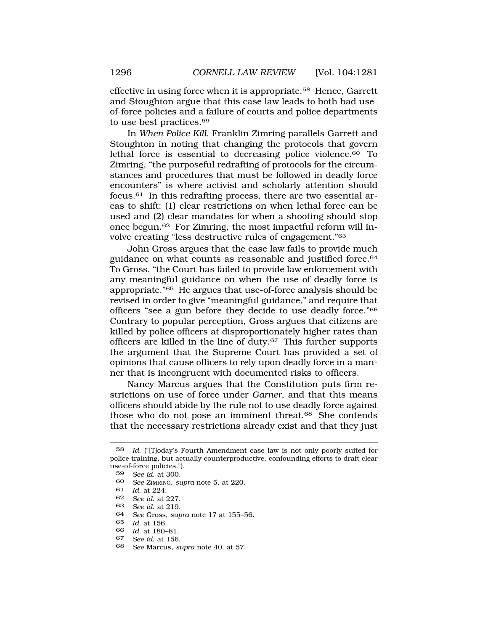effective in using force when it is appropriate.58 Hence, Garrett and Stoughton argue that this case law leads to both bad useof-force policies and a failure of courts and police departments to use best practices.59

In *When Police Kill*, Franklin Zimring parallels Garrett and Stoughton in noting that changing the protocols that govern lethal force is essential to decreasing police violence.60 To Zimring, "the purposeful redrafting of protocols for the circumstances and procedures that must be followed in deadly force encounters" is where activist and scholarly attention should focus.61 In this redrafting process, there are two essential areas to shift: (1) clear restrictions on when lethal force can be used and (2) clear mandates for when a shooting should stop once begun.62 For Zimring, the most impactful reform will involve creating "less destructive rules of engagement."63

John Gross argues that the case law fails to provide much guidance on what counts as reasonable and justified force.64 To Gross, "the Court has failed to provide law enforcement with any meaningful guidance on when the use of deadly force is appropriate."65 He argues that use-of-force analysis should be revised in order to give "meaningful guidance," and require that officers "see a gun before they decide to use deadly force."66 Contrary to popular perception, Gross argues that citizens are killed by police officers at disproportionately higher rates than officers are killed in the line of duty.67 This further supports the argument that the Supreme Court has provided a set of opinions that cause officers to rely upon deadly force in a manner that is incongruent with documented risks to officers.

Nancy Marcus argues that the Constitution puts firm restrictions on use of force under *Garner*, and that this means officers should abide by the rule not to use deadly force against those who do not pose an imminent threat.68 She contends that the necessary restrictions already exist and that they just

61 *Id*. at 224.

- 63 *See id*. at 219.
- 64 *See* Gross, *supra* note 17 at 155–56.
- 65 *Id*. at 156.
- 66 *Id*. at 180–81.
- 67 *See id*. at 156.
- 68 *See* Marcus, *supra* note 40, at 57.

<sup>58</sup> *Id*. ("[T]oday's Fourth Amendment case law is not only poorly suited for police training, but actually counterproductive, confounding efforts to draft clear use-of-force policies.").

<sup>59</sup> *See id*. at 300.

<sup>60</sup> *See* ZIMRING, *supra* note 5, at 220.

<sup>62</sup> *See id*. at 227.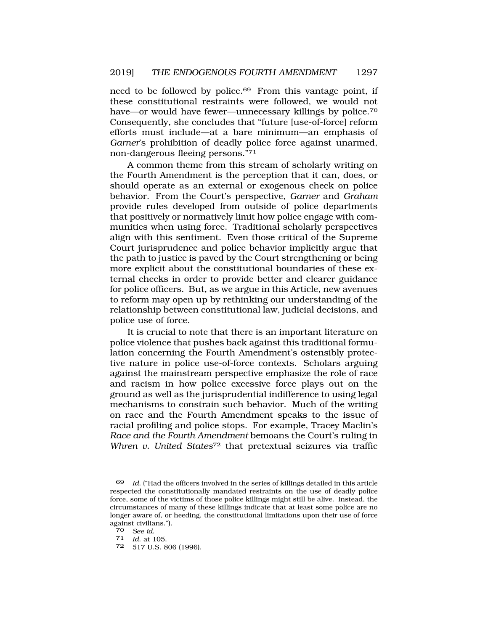need to be followed by police.<sup>69</sup> From this vantage point, if these constitutional restraints were followed, we would not have—or would have fewer—unnecessary killings by police.<sup>70</sup> Consequently, she concludes that "future [use-of-force] reform efforts must include—at a bare minimum—an emphasis of *Garner*'s prohibition of deadly police force against unarmed, non-dangerous fleeing persons."71

A common theme from this stream of scholarly writing on the Fourth Amendment is the perception that it can, does, or should operate as an external or exogenous check on police behavior. From the Court's perspective, *Garner* and *Graham*  provide rules developed from outside of police departments that positively or normatively limit how police engage with communities when using force. Traditional scholarly perspectives align with this sentiment. Even those critical of the Supreme Court jurisprudence and police behavior implicitly argue that the path to justice is paved by the Court strengthening or being more explicit about the constitutional boundaries of these external checks in order to provide better and clearer guidance for police officers. But, as we argue in this Article, new avenues to reform may open up by rethinking our understanding of the relationship between constitutional law, judicial decisions, and police use of force.

It is crucial to note that there is an important literature on police violence that pushes back against this traditional formulation concerning the Fourth Amendment's ostensibly protective nature in police use-of-force contexts. Scholars arguing against the mainstream perspective emphasize the role of race and racism in how police excessive force plays out on the ground as well as the jurisprudential indifference to using legal mechanisms to constrain such behavior. Much of the writing on race and the Fourth Amendment speaks to the issue of racial profiling and police stops. For example, Tracey Maclin's *Race and the Fourth Amendment* bemoans the Court's ruling in *Whren v. United States*72 that pretextual seizures via traffic

<sup>69</sup> *Id*. ("Had the officers involved in the series of killings detailed in this article respected the constitutionally mandated restraints on the use of deadly police force, some of the victims of those police killings might still be alive. Instead, the circumstances of many of these killings indicate that at least some police are no longer aware of, or heeding, the constitutional limitations upon their use of force against civilians.").

<sup>70</sup>*See id*. 71 *Id*. at 105.

<sup>72 517</sup> U.S. 806 (1996).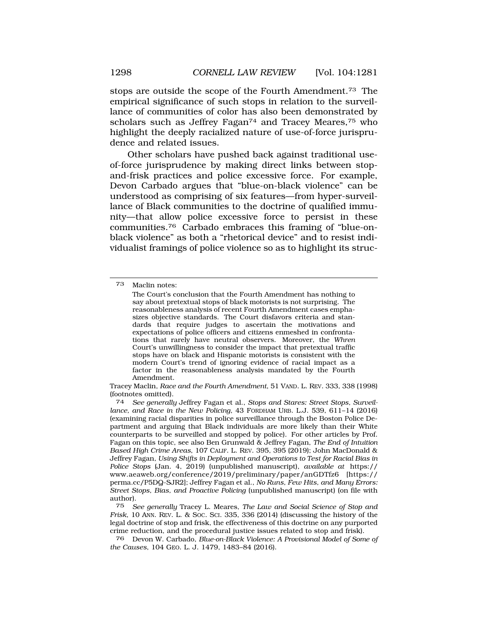stops are outside the scope of the Fourth Amendment.73 The empirical significance of such stops in relation to the surveillance of communities of color has also been demonstrated by scholars such as Jeffrey Fagan<sup>74</sup> and Tracey Meares,<sup>75</sup> who highlight the deeply racialized nature of use-of-force jurisprudence and related issues.

Other scholars have pushed back against traditional useof-force jurisprudence by making direct links between stopand-frisk practices and police excessive force. For example, Devon Carbado argues that "blue-on-black violence" can be understood as comprising of six features—from hyper-surveillance of Black communities to the doctrine of qualified immunity—that allow police excessive force to persist in these communities.76 Carbado embraces this framing of "blue-onblack violence" as both a "rhetorical device" and to resist individualist framings of police violence so as to highlight its struc-

Tracey Maclin, *Race and the Fourth Amendment*, 51 VAND. L. REV. 333, 338 (1998) (footnotes omitted).

74 *See generally* Jeffrey Fagan et al., *Stops and Stares: Street Stops, Surveillance, and Race in the New Policing*, 43 FORDHAM URB. L.J. 539, 611–14 (2016) (examining racial disparities in police surveillance through the Boston Police Department and arguing that Black individuals are more likely than their White counterparts to be surveilled and stopped by police). For other articles by Prof. Fagan on this topic, see also Ben Grunwald & Jeffrey Fagan, *The End of Intuition Based High Crime Areas*, 107 CALIF. L. REV. 395, 395 (2019); John MacDonald & Jeffrey Fagan, *Using Shifts in Deployment and Operations to Test for Racial Bias in Police Stops* (Jan. 4, 2019) (unpublished manuscript), *available at* https:// www.aeaweb.org/conference/2019/preliminary/paper/anGDTfz6 [https:// perma.cc/P5DQ-SJR2]; Jeffrey Fagan et al., *No Runs, Few Hits, and Many Errors: Street Stops, Bias, and Proactive Policing* (unpublished manuscript) (on file with author).

75 *See generally* Tracey L. Meares, *The Law and Social Science of Stop and Frisk*, 10 ANN. REV. L. & SOC. SCI. 335, 336 (2014) (discussing the history of the legal doctrine of stop and frisk, the effectiveness of this doctrine on any purported crime reduction, and the procedural justice issues related to stop and frisk).

76 Devon W. Carbado, *Blue-on-Black Violence: A Provisional Model of Some of the Causes*, 104 GEO. L. J. 1479, 1483–84 (2016).

<sup>73</sup> Maclin notes:

The Court's conclusion that the Fourth Amendment has nothing to say about pretextual stops of black motorists is not surprising. The reasonableness analysis of recent Fourth Amendment cases emphasizes objective standards. The Court disfavors criteria and standards that require judges to ascertain the motivations and expectations of police officers and citizens enmeshed in confrontations that rarely have neutral observers. Moreover, the *Whren*  Court's unwillingness to consider the impact that pretextual traffic stops have on black and Hispanic motorists is consistent with the modern Court's trend of ignoring evidence of racial impact as a factor in the reasonableness analysis mandated by the Fourth Amendment.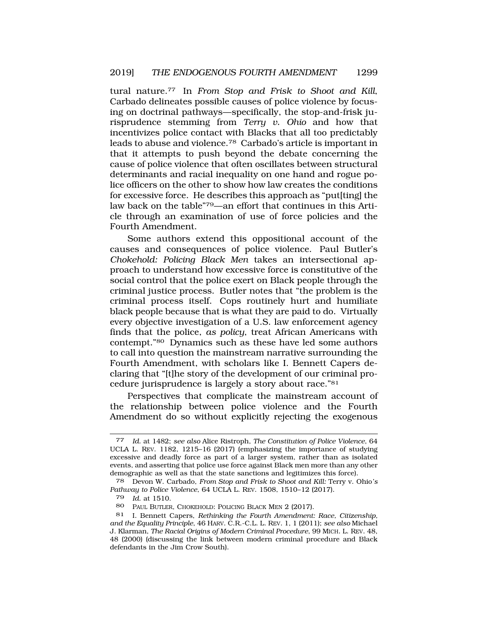tural nature.77 In *From Stop and Frisk to Shoot and Kill*, Carbado delineates possible causes of police violence by focusing on doctrinal pathways—specifically, the stop-and-frisk jurisprudence stemming from *Terry v. Ohio* and how that incentivizes police contact with Blacks that all too predictably leads to abuse and violence.78 Carbado's article is important in that it attempts to push beyond the debate concerning the cause of police violence that often oscillates between structural determinants and racial inequality on one hand and rogue police officers on the other to show how law creates the conditions for excessive force. He describes this approach as "put[ting] the law back on the table"79—an effort that continues in this Article through an examination of use of force policies and the Fourth Amendment.

Some authors extend this oppositional account of the causes and consequences of police violence. Paul Butler's *Chokehold: Policing Black Men* takes an intersectional approach to understand how excessive force is constitutive of the social control that the police exert on Black people through the criminal justice process. Butler notes that "the problem is the criminal process itself. Cops routinely hurt and humiliate black people because that is what they are paid to do. Virtually every objective investigation of a U.S. law enforcement agency finds that the police, *as policy*, treat African Americans with contempt."80 Dynamics such as these have led some authors to call into question the mainstream narrative surrounding the Fourth Amendment, with scholars like I. Bennett Capers declaring that "[t]he story of the development of our criminal procedure jurisprudence is largely a story about race."81

Perspectives that complicate the mainstream account of the relationship between police violence and the Fourth Amendment do so without explicitly rejecting the exogenous

<sup>77</sup> *Id*. at 1482; *see also* Alice Ristroph, *The Constitution of Police Violence*, 64 UCLA L. REV. 1182, 1215–16 (2017) (emphasizing the importance of studying excessive and deadly force as part of a larger system, rather than as isolated events, and asserting that police use force against Black men more than any other demographic as well as that the state sanctions and legitimizes this force).

<sup>78</sup> Devon W. Carbado, *From Stop and Frisk to Shoot and Kill:* Terry v. Ohio*'s Pathway to Police Violence*, 64 UCLA L. REV. 1508, 1510–12 (2017).

<sup>79</sup> *Id*. at 1510.

<sup>80</sup> PAUL BUTLER, CHOKEHOLD: POLICING BLACK MEN 2 (2017).

<sup>81</sup> I. Bennett Capers, *Rethinking the Fourth Amendment: Race, Citizenship, and the Equality Principle*, 46 HARV. C.R.-C.L. L. REV. 1, 1 (2011); *see also* Michael J. Klarman, *The Racial Origins of Modern Criminal Procedure*, 99 MICH. L. REV. 48, 48 (2000) (discussing the link between modern criminal procedure and Black defendants in the Jim Crow South).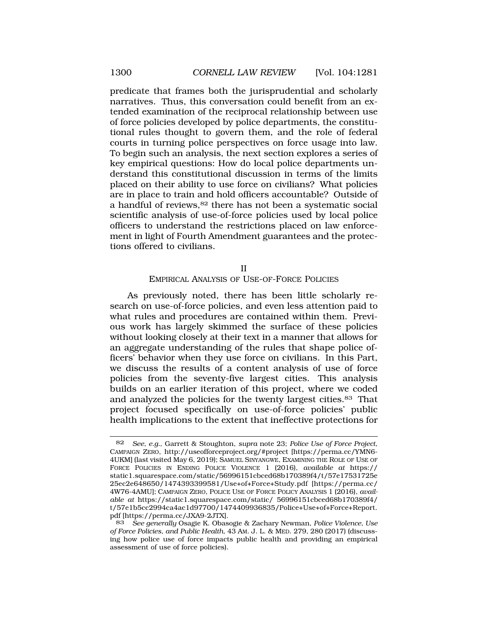<span id="page-19-0"></span>predicate that frames both the jurisprudential and scholarly narratives. Thus, this conversation could benefit from an extended examination of the reciprocal relationship between use of force policies developed by police departments, the constitutional rules thought to govern them, and the role of federal courts in turning police perspectives on force usage into law. To begin such an analysis, the next section explores a series of key empirical questions: How do local police departments understand this constitutional discussion in terms of the limits placed on their ability to use force on civilians? What policies are in place to train and hold officers accountable? Outside of a handful of reviews, 82 there has not been a systematic social scientific analysis of use-of-force policies used by local police officers to understand the restrictions placed on law enforcement in light of Fourth Amendment guarantees and the protections offered to civilians.

#### II

#### EMPIRICAL ANALYSIS OF USE-OF-FORCE POLICIES

As previously noted, there has been little scholarly research on use-of-force policies, and even less attention paid to what rules and procedures are contained within them. Previous work has largely skimmed the surface of these policies without looking closely at their text in a manner that allows for an aggregate understanding of the rules that shape police officers' behavior when they use force on civilians. In this Part, we discuss the results of a content analysis of use of force policies from the seventy-five largest cities. This analysis builds on an earlier iteration of this project, where we coded and analyzed the policies for the twenty largest cities.83 That project focused specifically on use-of-force policies' public health implications to the extent that ineffective protections for

<sup>82</sup> *See, e.g.*, Garrett & Stoughton, *supra* note 23; *Police Use of Force Project*, CAMPAIGN ZERO, http://useofforceproject.org/#project [https://perma.cc/YMN6- 4UKM] (last visited May 6, 2019); SAMUEL SINYANGWE, EXAMINING THE ROLE OF USE OF FORCE POLICIES IN ENDING POLICE VIOLENCE 1 (2016), *available at* https:// static1.squarespace.com/static/56996151cbced68b170389f4/t/57e17531725e 25ec2e648650/1474393399581/Use+of+Force+Study.pdf [https://perma.cc/ 4W76-4AMU]; CAMPAIGN ZERO, POLICE USE OF FORCE POLICY ANALYSIS 1 (2016), *available at* https://static1.squarespace.com/static/ 56996151cbced68b170389f4/ t/57e1b5cc2994ca4ac1d97700/1474409936835/Police+Use+of+Force+Report. pdf [https://perma.cc/JXA9-2JTX].

<sup>83</sup> *See generally* Osagie K. Obasogie & Zachary Newman, *Police Violence, Use of Force Policies, and Public Health*, 43 AM. J. L. & MED. 279, 280 (2017) (discussing how police use of force impacts public health and providing an empirical assessment of use of force policies).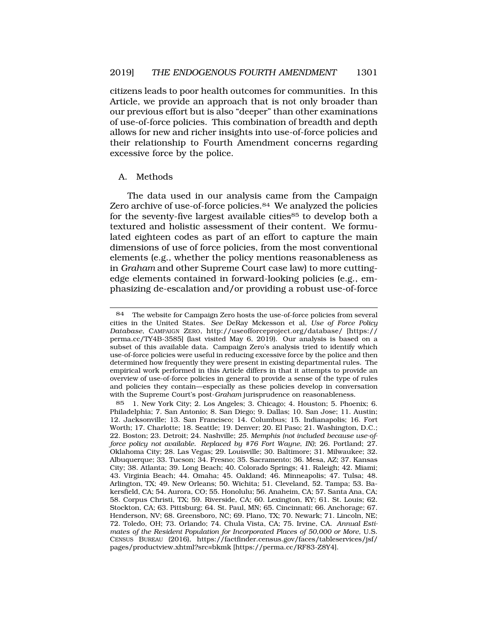<span id="page-20-0"></span>citizens leads to poor health outcomes for communities. In this Article, we provide an approach that is not only broader than our previous effort but is also "deeper" than other examinations of use-of-force policies. This combination of breadth and depth allows for new and richer insights into use-of-force policies and their relationship to Fourth Amendment concerns regarding excessive force by the police.

#### A. Methods

The data used in our analysis came from the Campaign Zero archive of use-of-force policies.<sup>84</sup> We analyzed the policies for the seventy-five largest available cities<sup>85</sup> to develop both a textured and holistic assessment of their content. We formulated eighteen codes as part of an effort to capture the main dimensions of use of force policies, from the most conventional elements (e.g., whether the policy mentions reasonableness as in *Graham* and other Supreme Court case law) to more cuttingedge elements contained in forward-looking policies (e.g., emphasizing de-escalation and/or providing a robust use-of-force

<sup>84</sup> The website for Campaign Zero hosts the use-of-force policies from several cities in the United States. *See* DeRay Mckesson et al, *Use of Force Policy Database*, CAMPAIGN ZERO, http://useofforceproject.org/database/ [https:// perma.cc/TY4B-3585] (last visited May 6, 2019). Our analysis is based on a subset of this available data. Campaign Zero's analysis tried to identify which use-of-force policies were useful in reducing excessive force by the police and then determined how frequently they were present in existing departmental rules. The empirical work performed in this Article differs in that it attempts to provide an overview of use-of-force policies in general to provide a sense of the type of rules and policies they contain—especially as these policies develop in conversation with the Supreme Court's post-*Graham* jurisprudence on reasonableness.

<sup>85 1.</sup> New York City; 2. Los Angeles; 3. Chicago; 4. Houston; 5. Phoenix; 6. Philadelphia; 7. San Antonio; 8. San Diego; 9. Dallas; 10. San Jose; 11. Austin; 12. Jacksonville; 13. San Francisco; 14. Columbus; 15. Indianapolis; 16. Fort Worth; 17. Charlotte; 18. Seattle; 19. Denver; 20. El Paso; 21. Washington, D.C.; 22. Boston; 23. Detroit; 24. Nashville; *25. Memphis (not included because use-offorce policy not available. Replaced by #76 Fort Wayne, IN)*; 26. Portland; 27. Oklahoma City; 28. Las Vegas; 29. Louisville; 30. Baltimore; 31. Milwaukee; 32. Albuquerque; 33. Tucson; 34. Fresno; 35. Sacramento; 36. Mesa, AZ; 37. Kansas City; 38. Atlanta; 39. Long Beach; 40. Colorado Springs; 41. Raleigh; 42. Miami; 43. Virginia Beach; 44. Omaha; 45. Oakland; 46. Minneapolis; 47. Tulsa; 48. Arlington, TX; 49. New Orleans; 50. Wichita; 51. Cleveland, 52. Tampa; 53. Bakersfield, CA; 54. Aurora, CO; 55. Honolulu; 56. Anaheim, CA; 57. Santa Ana, CA; 58. Corpus Christi, TX; 59. Riverside, CA; 60. Lexington, KY; 61. St. Louis; 62. Stockton, CA; 63. Pittsburg; 64. St. Paul, MN; 65. Cincinnati; 66. Anchorage; 67. Henderson, NV; 68. Greensboro, NC; 69. Plano, TX; 70. Newark; 71. Lincoln, NE; 72. Toledo, OH; 73. Orlando; 74. Chula Vista, CA; 75. Irvine, CA. *Annual Estimates of the Resident Population for Incorporated Places of 50,000 or More*, U.S. CENSUS BUREAU (2016), https://factfinder.census.gov/faces/tableservices/jsf/ pages/productview.xhtml?src=bkmk [https://perma.cc/RF83-Z8Y4].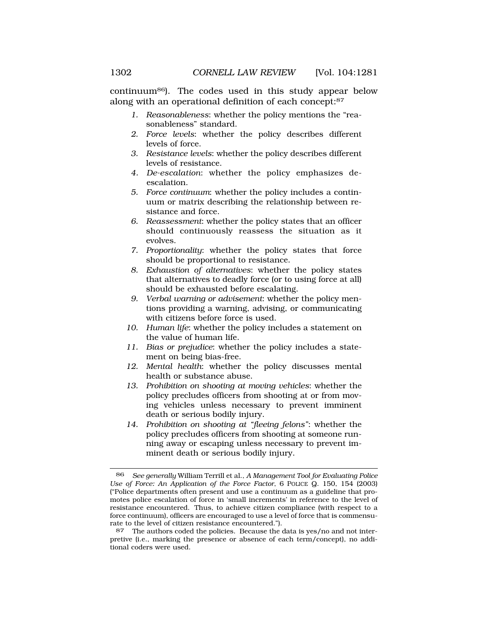continuum86). The codes used in this study appear below along with an operational definition of each concept:87

- *1. Reasonableness*: whether the policy mentions the "reasonableness" standard.
- *2. Force levels*: whether the policy describes different levels of force.
- *3. Resistance levels*: whether the policy describes different levels of resistance.
- *4. De-escalation*: whether the policy emphasizes deescalation.
- *5. Force continuum*: whether the policy includes a continuum or matrix describing the relationship between resistance and force.
- *6. Reassessment*: whether the policy states that an officer should continuously reassess the situation as it evolves.
- *7. Proportionality*: whether the policy states that force should be proportional to resistance.
- *8. Exhaustion of alternatives*: whether the policy states that alternatives to deadly force (or to using force at all) should be exhausted before escalating.
- *9. Verbal warning or advisement*: whether the policy mentions providing a warning, advising, or communicating with citizens before force is used.
- *10. Human life*: whether the policy includes a statement on the value of human life.
- *11. Bias or prejudice*: whether the policy includes a statement on being bias-free.
- *12. Mental health*: whether the policy discusses mental health or substance abuse.
- *13. Prohibition on shooting at moving vehicles*: whether the policy precludes officers from shooting at or from moving vehicles unless necessary to prevent imminent death or serious bodily injury.
- *14. Prohibition on shooting at "fleeing felons"*: whether the policy precludes officers from shooting at someone running away or escaping unless necessary to prevent imminent death or serious bodily injury.

<sup>86</sup> *See generally* William Terrill et al., *A Management Tool for Evaluating Police Use of Force: An Application of the Force Factor*, 6 POLICE Q. 150, 154 (2003) ("Police departments often present and use a continuum as a guideline that promotes police escalation of force in 'small increments' in reference to the level of resistance encountered. Thus, to achieve citizen compliance (with respect to a force continuum), officers are encouraged to use a level of force that is commensurate to the level of citizen resistance encountered.").

<sup>87</sup> The authors coded the policies. Because the data is yes/no and not interpretive (i.e., marking the presence or absence of each term/concept), no additional coders were used.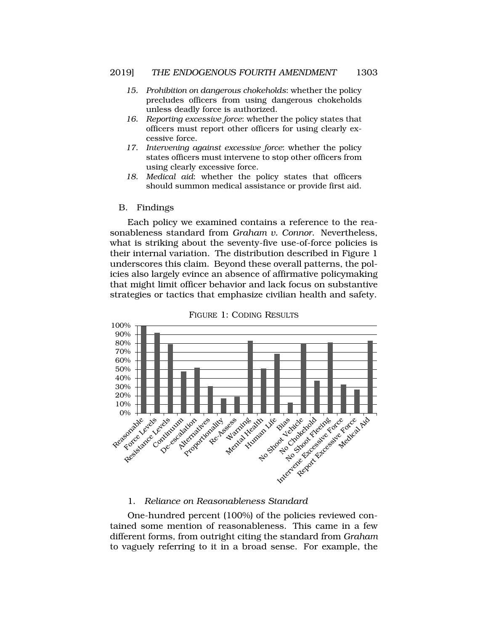- <span id="page-22-0"></span>*15. Prohibition on dangerous chokeholds*: whether the policy precludes officers from using dangerous chokeholds unless deadly force is authorized.
- *16. Reporting excessive force*: whether the policy states that officers must report other officers for using clearly excessive force.
- *17. Intervening against excessive force*: whether the policy states officers must intervene to stop other officers from using clearly excessive force.
- *18. Medical aid*: whether the policy states that officers should summon medical assistance or provide first aid.

#### B. Findings

Each policy we examined contains a reference to the reasonableness standard from *Graham v. Connor*. Nevertheless, what is striking about the seventy-five use-of-force policies is their internal variation. The distribution described in Figure 1 underscores this claim. Beyond these overall patterns, the policies also largely evince an absence of affirmative policymaking that might limit officer behavior and lack focus on substantive strategies or tactics that emphasize civilian health and safety.



FIGURE 1: CODING RESULTS

#### 1. *Reliance on Reasonableness Standard*

One-hundred percent (100%) of the policies reviewed contained some mention of reasonableness. This came in a few different forms, from outright citing the standard from *Graham*  to vaguely referring to it in a broad sense. For example, the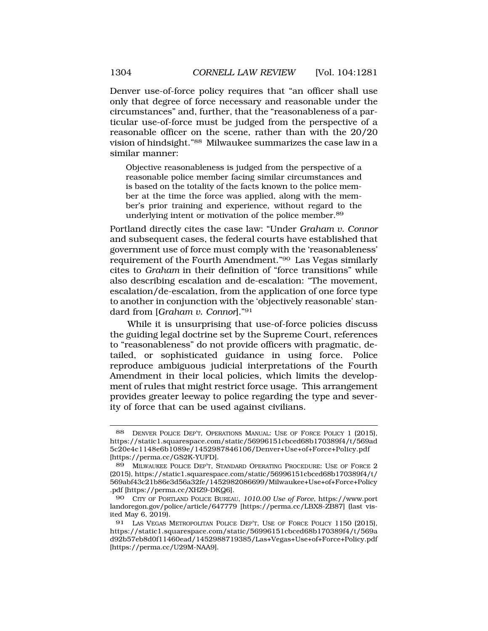Denver use-of-force policy requires that "an officer shall use only that degree of force necessary and reasonable under the circumstances" and, further, that the "reasonableness of a particular use-of-force must be judged from the perspective of a reasonable officer on the scene, rather than with the 20/20 vision of hindsight."88 Milwaukee summarizes the case law in a similar manner:

Objective reasonableness is judged from the perspective of a reasonable police member facing similar circumstances and is based on the totality of the facts known to the police member at the time the force was applied, along with the member's prior training and experience, without regard to the underlying intent or motivation of the police member.89

Portland directly cites the case law: "Under *Graham v. Connor*  and subsequent cases, the federal courts have established that government use of force must comply with the 'reasonableness' requirement of the Fourth Amendment."90 Las Vegas similarly cites to *Graham* in their definition of "force transitions" while also describing escalation and de-escalation: "The movement, escalation/de-escalation, from the application of one force type to another in conjunction with the 'objectively reasonable' standard from [*Graham v. Connor*]."91

While it is unsurprising that use-of-force policies discuss the guiding legal doctrine set by the Supreme Court, references to "reasonableness" do not provide officers with pragmatic, detailed, or sophisticated guidance in using force. Police reproduce ambiguous judicial interpretations of the Fourth Amendment in their local policies, which limits the development of rules that might restrict force usage. This arrangement provides greater leeway to police regarding the type and severity of force that can be used against civilians.

DENVER POLICE DEP'T, OPERATIONS MANUAL: USE OF FORCE POLICY 1 (2015), https://static1.squarespace.com/static/56996151cbced68b170389f4/t/569ad 5c20e4c1148e6b1089e/1452987846106/Denver+Use+of+Force+Policy.pdf [https://perma.cc/GS2K-YUFD].

<sup>89</sup> MILWAUKEE POLICE DEP'T, STANDARD OPERATING PROCEDURE: USE OF FORCE 2 (2015), https://static1.squarespace.com/static/56996151cbced68b170389f4/t/ 569abf43c21b86e3d56a32fe/1452982086699/Milwaukee+Use+of+Force+Policy .pdf [https://perma.cc/XHZ9-DKQ6].

<sup>90</sup> CITY OF PORTLAND POLICE BUREAU, *1010.00 Use of Force*, https://www.port landoregon.gov/police/article/647779 [https://perma.cc/LBX8-ZB87] (last visited May 6, 2019).

<sup>91</sup> LAS VEGAS METROPOLITAN POLICE DEP'T, USE OF FORCE POLICY 1150 (2015), https://static1.squarespace.com/static/56996151cbced68b170389f4/t/569a d92b57eb8d0f11460ead/1452988719385/Las+Vegas+Use+of+Force+Policy.pdf [https://perma.cc/U29M-NAA9].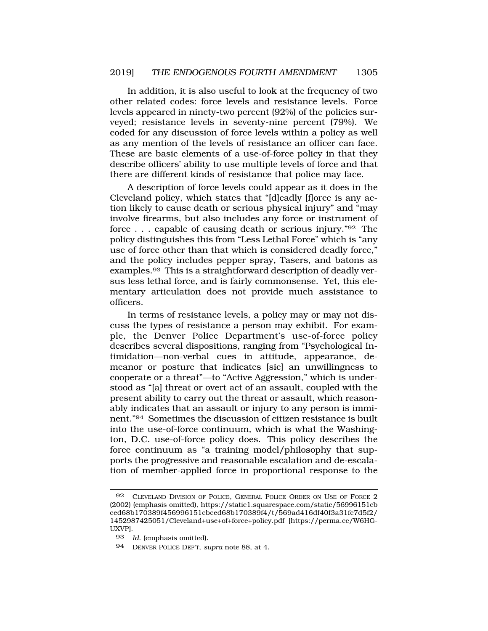In addition, it is also useful to look at the frequency of two other related codes: force levels and resistance levels. Force levels appeared in ninety-two percent (92%) of the policies surveyed; resistance levels in seventy-nine percent (79%). We coded for any discussion of force levels within a policy as well as any mention of the levels of resistance an officer can face. These are basic elements of a use-of-force policy in that they describe officers' ability to use multiple levels of force and that there are different kinds of resistance that police may face.

A description of force levels could appear as it does in the Cleveland policy, which states that "[d]eadly [f]orce is any action likely to cause death or serious physical injury" and "may involve firearms, but also includes any force or instrument of force . . . capable of causing death or serious injury."92 The policy distinguishes this from "Less Lethal Force" which is "any use of force other than that which is considered deadly force," and the policy includes pepper spray, Tasers, and batons as examples.93 This is a straightforward description of deadly versus less lethal force, and is fairly commonsense. Yet, this elementary articulation does not provide much assistance to officers.

In terms of resistance levels, a policy may or may not discuss the types of resistance a person may exhibit. For example, the Denver Police Department's use-of-force policy describes several dispositions, ranging from "Psychological Intimidation—non-verbal cues in attitude, appearance, demeanor or posture that indicates [sic] an unwillingness to cooperate or a threat"—to "Active Aggression," which is understood as "[a] threat or overt act of an assault, coupled with the present ability to carry out the threat or assault, which reasonably indicates that an assault or injury to any person is imminent."94 Sometimes the discussion of citizen resistance is built into the use-of-force continuum, which is what the Washington, D.C. use-of-force policy does. This policy describes the force continuum as "a training model/philosophy that supports the progressive and reasonable escalation and de-escalation of member-applied force in proportional response to the

<sup>92</sup> CLEVELAND DIVISION OF POLICE, GENERAL POLICE ORDER ON USE OF FORCE 2 (2002) (emphasis omitted), https://static1.squarespace.com/static/56996151cb ced68b170389f456996151cbced68b170389f4/t/569ad416df40f3a31fc7d5f2/ 1452987425051/Cleveland+use+of+force+policy.pdf [https://perma.cc/W6HG-UXVP].

<sup>93</sup> *Id*. (emphasis omitted).

<sup>94</sup> DENVER POLICE DEP'T, *supra* note 88, at 4.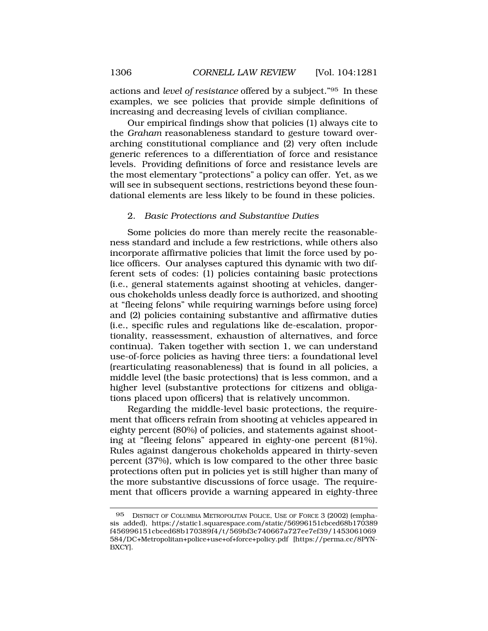<span id="page-25-0"></span>actions and *level of resistance* offered by a subject."95 In these examples, we see policies that provide simple definitions of increasing and decreasing levels of civilian compliance.

Our empirical findings show that policies (1) always cite to the *Graham* reasonableness standard to gesture toward overarching constitutional compliance and  $(2)$  very often include generic references to a differentiation of force and resistance levels. Providing definitions of force and resistance levels are the most elementary "protections" a policy can offer. Yet, as we will see in subsequent sections, restrictions beyond these foundational elements are less likely to be found in these policies.

#### 2. *Basic Protections and Substantive Duties*

Some policies do more than merely recite the reasonableness standard and include a few restrictions, while others also incorporate affirmative policies that limit the force used by police officers. Our analyses captured this dynamic with two different sets of codes: (1) policies containing basic protections (i.e., general statements against shooting at vehicles, dangerous chokeholds unless deadly force is authorized, and shooting at "fleeing felons" while requiring warnings before using force) and (2) policies containing substantive and affirmative duties (i.e., specific rules and regulations like de-escalation, proportionality, reassessment, exhaustion of alternatives, and force continua). Taken together with section 1, we can understand use-of-force policies as having three tiers: a foundational level (rearticulating reasonableness) that is found in all policies, a middle level (the basic protections) that is less common, and a higher level (substantive protections for citizens and obligations placed upon officers) that is relatively uncommon.

Regarding the middle-level basic protections, the requirement that officers refrain from shooting at vehicles appeared in eighty percent (80%) of policies, and statements against shooting at "fleeing felons" appeared in eighty-one percent (81%). Rules against dangerous chokeholds appeared in thirty-seven percent (37%), which is low compared to the other three basic protections often put in policies yet is still higher than many of the more substantive discussions of force usage. The requirement that officers provide a warning appeared in eighty-three

<sup>95</sup> DISTRICT OF COLUMBIA METROPOLITAN POLICE, USE OF FORCE 3 (2002) (emphasis added), https://static1.squarespace.com/static/56996151cbced68b170389 f456996151cbced68b170389f4/t/569bf3c740667a727ee7ef39/1453061069 584/DC+Metropolitan+police+use+of+force+policy.pdf [https://perma.cc/8PYN-BXCY].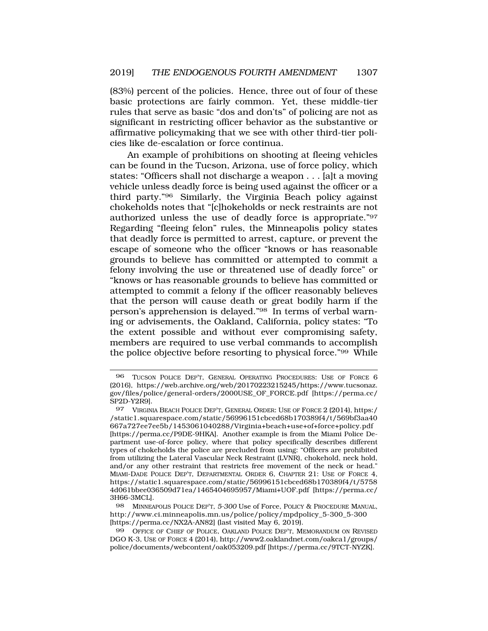(83%) percent of the policies. Hence, three out of four of these basic protections are fairly common. Yet, these middle-tier rules that serve as basic "dos and don'ts" of policing are not as significant in restricting officer behavior as the substantive or affirmative policymaking that we see with other third-tier policies like de-escalation or force continua.

An example of prohibitions on shooting at fleeing vehicles can be found in the Tucson, Arizona, use of force policy, which states: "Officers shall not discharge a weapon . . . [a]t a moving vehicle unless deadly force is being used against the officer or a third party."96 Similarly, the Virginia Beach policy against chokeholds notes that "[c]hokeholds or neck restraints are not authorized unless the use of deadly force is appropriate."97 Regarding "fleeing felon" rules, the Minneapolis policy states that deadly force is permitted to arrest, capture, or prevent the escape of someone who the officer "knows or has reasonable grounds to believe has committed or attempted to commit a felony involving the use or threatened use of deadly force" or "knows or has reasonable grounds to believe has committed or attempted to commit a felony if the officer reasonably believes that the person will cause death or great bodily harm if the person's apprehension is delayed."98 In terms of verbal warning or advisements, the Oakland, California, policy states: "To the extent possible and without ever compromising safety, members are required to use verbal commands to accomplish the police objective before resorting to physical force."99 While

98 MINNEAPOLIS POLICE DEP'T, *5-300* Use of Force, POLICY & PROCEDURE MANUAL, http://www.ci.minneapolis.mn.us/police/policy/mpdpolicy\_5-300\_5-300 [https://perma.cc/NX2A-AN82] (last visited May 6, 2019).

99 OFFICE OF CHIEF OF POLICE, OAKLAND POLICE DEP'T, MEMORANDUM ON REVISED DGO K-3, USE OF FORCE 4 (2014), http://www2.oaklandnet.com/oakca1/groups/ police/documents/webcontent/oak053209.pdf [https://perma.cc/9TCT-NYZK].

<sup>96</sup> TUCSON POLICE DEP'T, GENERAL OPERATING PROCEDURES: USE OF FORCE 6 (2016), https://web.archive.org/web/20170223215245/https://www.tucsonaz. gov/files/police/general-orders/2000USE\_OF\_FORCE.pdf [https://perma.cc/ SP2D-Y2R9].

<sup>97</sup> VIRGINIA BEACH POLICE DEP'T, GENERAL ORDER: USE OF FORCE 2 (2014), https:/ /static1.squarespace.com/static/56996151cbced68b170389f4/t/569bf3aa40 667a727ee7ee5b/1453061040288/Virginia+beach+use+of+force+policy.pdf [https://perma.cc/P9DE-9HKA]. Another example is from the Miami Police Department use-of-force policy, where that policy specifically describes different types of chokeholds the police are precluded from using: "Officers are prohibited from utilizing the Lateral Vascular Neck Restraint (LVNR), chokehold, neck hold, and/or any other restraint that restricts free movement of the neck or head." MIAMI-DADE POLICE DEP'T, DEPARTMENTAL ORDER 6, CHAPTER 21: USE OF FORCE 4, https://static1.squarespace.com/static/56996151cbced68b170389f4/t/5758 4d061bbee036509d71ea/1465404695957/Miami+UOF.pdf [https://perma.cc/ 3H66-3MCL].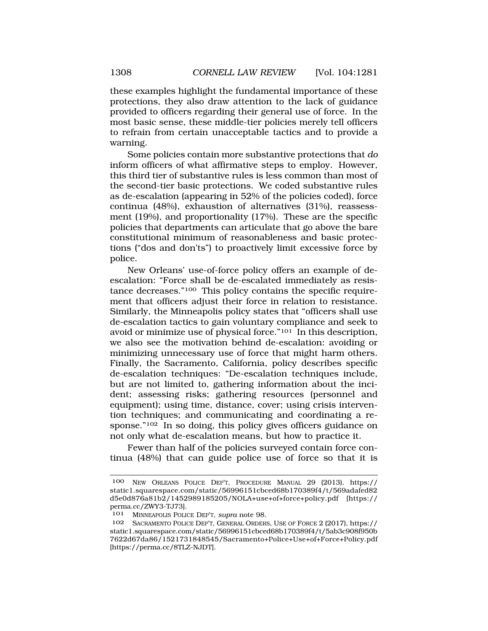these examples highlight the fundamental importance of these protections, they also draw attention to the lack of guidance provided to officers regarding their general use of force. In the most basic sense, these middle-tier policies merely tell officers to refrain from certain unacceptable tactics and to provide a warning.

Some policies contain more substantive protections that *do*  inform officers of what affirmative steps to employ. However, this third tier of substantive rules is less common than most of the second-tier basic protections. We coded substantive rules as de-escalation (appearing in 52% of the policies coded), force continua (48%), exhaustion of alternatives (31%), reassessment (19%), and proportionality (17%). These are the specific policies that departments can articulate that go above the bare constitutional minimum of reasonableness and basic protections ("dos and don'ts") to proactively limit excessive force by police.

New Orleans' use-of-force policy offers an example of deescalation: "Force shall be de-escalated immediately as resistance decreases."100 This policy contains the specific requirement that officers adjust their force in relation to resistance. Similarly, the Minneapolis policy states that "officers shall use de-escalation tactics to gain voluntary compliance and seek to avoid or minimize use of physical force."101 In this description, we also see the motivation behind de-escalation: avoiding or minimizing unnecessary use of force that might harm others. Finally, the Sacramento, California, policy describes specific de-escalation techniques: "De-escalation techniques include, but are not limited to, gathering information about the incident; assessing risks; gathering resources (personnel and equipment); using time, distance, cover; using crisis intervention techniques; and communicating and coordinating a response."102 In so doing, this policy gives officers guidance on not only what de-escalation means, but how to practice it.

Fewer than half of the policies surveyed contain force continua (48%) that can guide police use of force so that it is

<sup>100</sup> NEW ORLEANS POLICE DEP'T, PROCEDURE MANUAL 29 (2013), https:// static1.squarespace.com/static/56996151cbced68b170389f4/t/569adafed82 d5e0d876a81b2/1452989185205/NOLA+use+of+force+policy.pdf [https:// perma.cc/ZWY3-TJ73].

<sup>101</sup> MINNEAPOLIS POLICE DEP'T, *supra* note 98.

SACRAMENTO POLICE DEP'T, GENERAL ORDERS, USE OF FORCE 2 (2017), https:// static1.squarespace.com/static/56996151cbced68b170389f4/t/5ab3c908f950b 7622d67da86/1521731848545/Sacramento+Police+Use+of+Force+Policy.pdf [https://perma.cc/8TLZ-NJDT].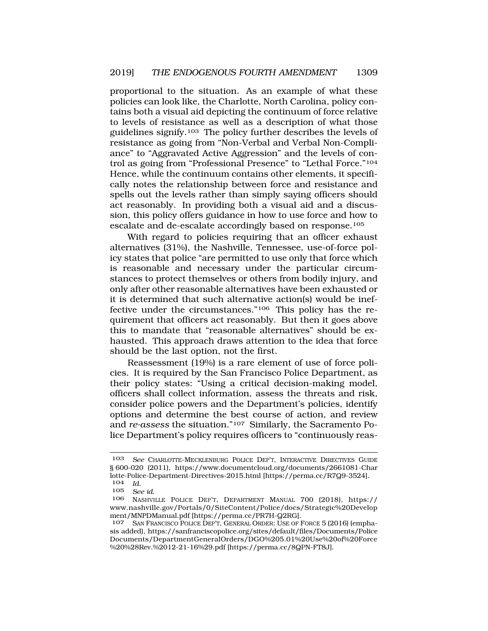proportional to the situation. As an example of what these policies can look like, the Charlotte, North Carolina, policy contains both a visual aid depicting the continuum of force relative to levels of resistance as well as a description of what those guidelines signify.103 The policy further describes the levels of resistance as going from "Non-Verbal and Verbal Non-Compliance" to "Aggravated Active Aggression" and the levels of control as going from "Professional Presence" to "Lethal Force."104 Hence, while the continuum contains other elements, it specifically notes the relationship between force and resistance and spells out the levels rather than simply saying officers should act reasonably. In providing both a visual aid and a discussion, this policy offers guidance in how to use force and how to escalate and de-escalate accordingly based on response.105

With regard to policies requiring that an officer exhaust alternatives (31%), the Nashville, Tennessee, use-of-force policy states that police "are permitted to use only that force which is reasonable and necessary under the particular circumstances to protect themselves or others from bodily injury, and only after other reasonable alternatives have been exhausted or it is determined that such alternative action(s) would be ineffective under the circumstances."106 This policy has the requirement that officers act reasonably. But then it goes above this to mandate that "reasonable alternatives" should be exhausted. This approach draws attention to the idea that force should be the last option, not the first.

Reassessment (19%) is a rare element of use of force policies. It is required by the San Francisco Police Department, as their policy states: "Using a critical decision-making model, officers shall collect information, assess the threats and risk, consider police powers and the Department's policies, identify options and determine the best course of action, and review and *re-assess* the situation."107 Similarly, the Sacramento Police Department's policy requires officers to "continuously reas-

<sup>103</sup> *See* CHARLOTTE-MECKLENBURG POLICE DEP'T, INTERACTIVE DIRECTIVES GUIDE § 600-020 (2011), https://www.documentcloud.org/documents/2661081-Char lotte-Police-Department-Directives-2015.html [https://perma.cc/R7Q9-3524].

<sup>104</sup>*Id*. 105 *See id*. 106 NASHVILLE POLICE DEP'T, DEPARTMENT MANUAL 700 (2018), https:// www.nashville.gov/Portals/0/SiteContent/Police/docs/Strategic%20Develop ment/MNPDManual.pdf [https://perma.cc/PR7H-Q2RG].

SAN FRANCISCO POLICE DEP'T, GENERAL ORDER: USE OF FORCE 5 (2016) (emphasis added), https://sanfranciscopolice.org/sites/default/files/Documents/Police Documents/DepartmentGeneralOrders/DGO%205.01%20Use%20of%20Force %20%28Rev.%2012-21-16%29.pdf [https://perma.cc/8QPN-FT8J].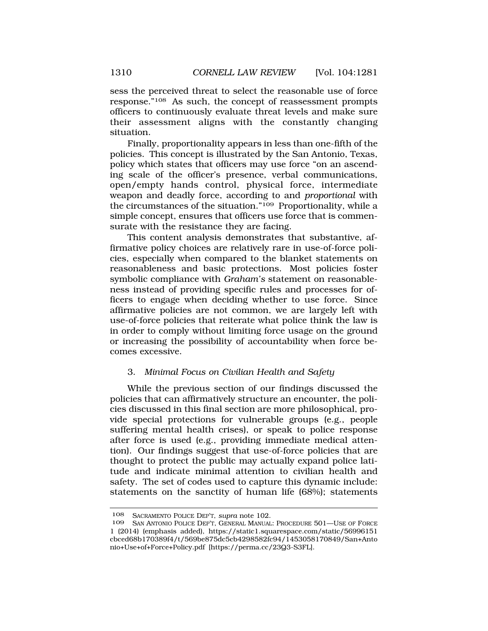<span id="page-29-0"></span>sess the perceived threat to select the reasonable use of force response."108 As such, the concept of reassessment prompts officers to continuously evaluate threat levels and make sure their assessment aligns with the constantly changing situation.

Finally, proportionality appears in less than one-fifth of the policies. This concept is illustrated by the San Antonio, Texas, policy which states that officers may use force "on an ascending scale of the officer's presence, verbal communications, open/empty hands control, physical force, intermediate weapon and deadly force, according to and *proportional* with the circumstances of the situation."109 Proportionality, while a simple concept, ensures that officers use force that is commensurate with the resistance they are facing.

This content analysis demonstrates that substantive, affirmative policy choices are relatively rare in use-of-force policies, especially when compared to the blanket statements on reasonableness and basic protections. Most policies foster symbolic compliance with *Graham's* statement on reasonableness instead of providing specific rules and processes for officers to engage when deciding whether to use force. Since affirmative policies are not common, we are largely left with use-of-force policies that reiterate what police think the law is in order to comply without limiting force usage on the ground or increasing the possibility of accountability when force becomes excessive.

## 3. *Minimal Focus on Civilian Health and Safety*

While the previous section of our findings discussed the policies that can affirmatively structure an encounter, the policies discussed in this final section are more philosophical, provide special protections for vulnerable groups (e.g., people suffering mental health crises), or speak to police response after force is used (e.g., providing immediate medical attention). Our findings suggest that use-of-force policies that are thought to protect the public may actually expand police latitude and indicate minimal attention to civilian health and safety. The set of codes used to capture this dynamic include: statements on the sanctity of human life (68%); statements

<sup>108</sup> SACRAMENTO POLICE DEP'T, *supra* note 102.

SAN ANTONIO POLICE DEP'T, GENERAL MANUAL: PROCEDURE 501-USE OF FORCE 1 (2014) (emphasis added), https://static1.squarespace.com/static/56996151 cbced68b170389f4/t/569be875dc5cb4298582fc94/1453058170849/San+Anto nio+Use+of+Force+Policy.pdf [https://perma.cc/23Q3-S3FL].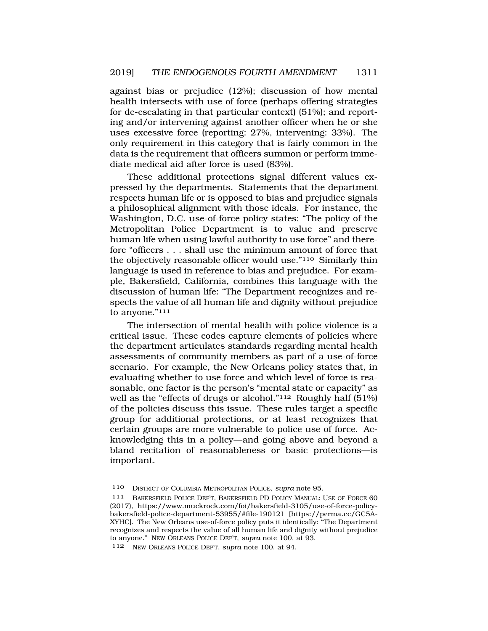against bias or prejudice (12%); discussion of how mental health intersects with use of force (perhaps offering strategies for de-escalating in that particular context) (51%); and reporting and/or intervening against another officer when he or she uses excessive force (reporting: 27%, intervening: 33%). The only requirement in this category that is fairly common in the data is the requirement that officers summon or perform immediate medical aid after force is used (83%).

These additional protections signal different values expressed by the departments. Statements that the department respects human life or is opposed to bias and prejudice signals a philosophical alignment with those ideals. For instance, the Washington, D.C. use-of-force policy states: "The policy of the Metropolitan Police Department is to value and preserve human life when using lawful authority to use force" and therefore "officers . . . shall use the minimum amount of force that the objectively reasonable officer would use."110 Similarly thin language is used in reference to bias and prejudice. For example, Bakersfield, California, combines this language with the discussion of human life: "The Department recognizes and respects the value of all human life and dignity without prejudice to anyone."111

The intersection of mental health with police violence is a critical issue. These codes capture elements of policies where the department articulates standards regarding mental health assessments of community members as part of a use-of-force scenario. For example, the New Orleans policy states that, in evaluating whether to use force and which level of force is reasonable, one factor is the person's "mental state or capacity" as well as the "effects of drugs or alcohol."112 Roughly half (51%) of the policies discuss this issue. These rules target a specific group for additional protections, or at least recognizes that certain groups are more vulnerable to police use of force. Acknowledging this in a policy—and going above and beyond a bland recitation of reasonableness or basic protections—is important.

<sup>110</sup> DISTRICT OF COLUMBIA METROPOLITAN POLICE, *supra* note 95.

<sup>111</sup> BAKERSFIELD POLICE DEP'T, BAKERSFIELD PD POLICY MANUAL: USE OF FORCE 60 (2017), https://www.muckrock.com/foi/bakersfield-3105/use-of-force-policybakersfield-police-department-53955/#file-190121 [https://perma.cc/GC5A-XYHC]. The New Orleans use-of-force policy puts it identically: "The Department recognizes and respects the value of all human life and dignity without prejudice to anyone." NEW ORLEANS POLICE DEP'T, *supra* note 100, at 93.

<sup>112</sup> NEW ORLEANS POLICE DEP'T, *supra* note 100, at 94.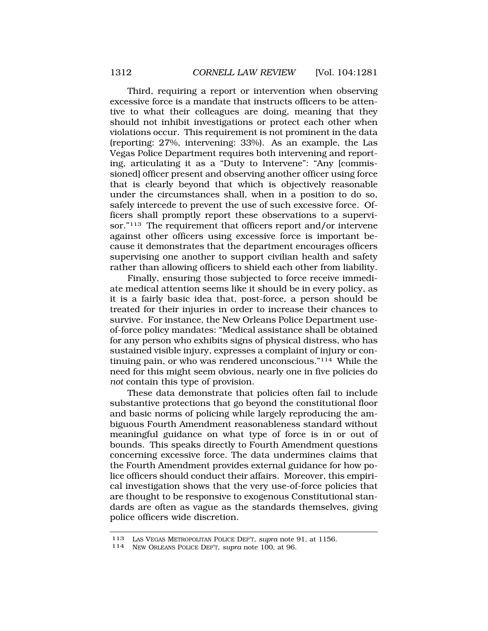Third, requiring a report or intervention when observing excessive force is a mandate that instructs officers to be attentive to what their colleagues are doing, meaning that they should not inhibit investigations or protect each other when violations occur. This requirement is not prominent in the data (reporting: 27%, intervening: 33%). As an example, the Las Vegas Police Department requires both intervening and reporting, articulating it as a "Duty to Intervene": "Any [commissioned] officer present and observing another officer using force that is clearly beyond that which is objectively reasonable under the circumstances shall, when in a position to do so, safely intercede to prevent the use of such excessive force. Officers shall promptly report these observations to a supervisor."<sup>113</sup> The requirement that officers report and/or intervene against other officers using excessive force is important because it demonstrates that the department encourages officers supervising one another to support civilian health and safety rather than allowing officers to shield each other from liability.

Finally, ensuring those subjected to force receive immediate medical attention seems like it should be in every policy, as it is a fairly basic idea that, post-force, a person should be treated for their injuries in order to increase their chances to survive. For instance, the New Orleans Police Department useof-force policy mandates: "Medical assistance shall be obtained for any person who exhibits signs of physical distress, who has sustained visible injury, expresses a complaint of injury or continuing pain, or who was rendered unconscious."114 While the need for this might seem obvious, nearly one in five policies do *not* contain this type of provision.

These data demonstrate that policies often fail to include substantive protections that go beyond the constitutional floor and basic norms of policing while largely reproducing the ambiguous Fourth Amendment reasonableness standard without meaningful guidance on what type of force is in or out of bounds. This speaks directly to Fourth Amendment questions concerning excessive force. The data undermines claims that the Fourth Amendment provides external guidance for how police officers should conduct their affairs. Moreover, this empirical investigation shows that the very use-of-force policies that are thought to be responsive to exogenous Constitutional standards are often as vague as the standards themselves, giving police officers wide discretion.

<sup>113</sup> LAS VEGAS METROPOLITAN POLICE DEP'T, *supra* note 91, at 1156. 114 NEW ORLEANS POLICE DEP'T, *supra* note 100, at 96.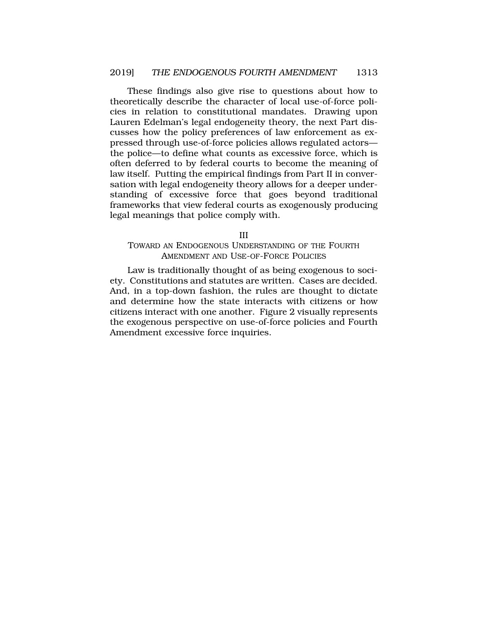<span id="page-32-0"></span>These findings also give rise to questions about how to theoretically describe the character of local use-of-force policies in relation to constitutional mandates. Drawing upon Lauren Edelman's legal endogeneity theory, the next Part discusses how the policy preferences of law enforcement as expressed through use-of-force policies allows regulated actors the police—to define what counts as excessive force, which is often deferred to by federal courts to become the meaning of law itself. Putting the empirical findings from Part II in conversation with legal endogeneity theory allows for a deeper understanding of excessive force that goes beyond traditional frameworks that view federal courts as exogenously producing legal meanings that police comply with.

III

#### TOWARD AN ENDOGENOUS UNDERSTANDING OF THE FOURTH AMENDMENT AND USE-OF-FORCE POLICIES

Law is traditionally thought of as being exogenous to society. Constitutions and statutes are written. Cases are decided. And, in a top-down fashion, the rules are thought to dictate and determine how the state interacts with citizens or how citizens interact with one another. Figure 2 visually represents the exogenous perspective on use-of-force policies and Fourth Amendment excessive force inquiries.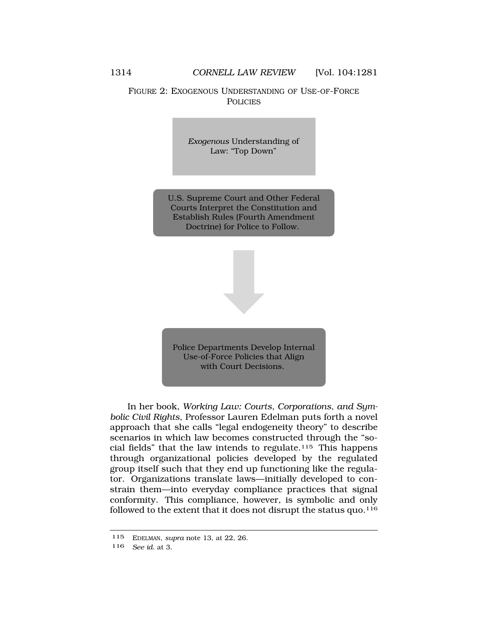# FIGURE 2: EXOGENOUS UNDERSTANDING OF USE-OF-FORCE **POLICIES**

*Exogenous* Understanding of Law: "Top Down"

U.S. Supreme Court and Other Federal Courts Interpret the Constitution and Establish Rules (Fourth Amendment Doctrine) for Police to Follow.

Police Departments Develop Internal Use-of-Force Policies that Align with Court Decisions.

In her book, *Working Law: Courts, Corporations, and Symbolic Civil Rights*, Professor Lauren Edelman puts forth a novel approach that she calls "legal endogeneity theory" to describe scenarios in which law becomes constructed through the "social fields" that the law intends to regulate.<sup>115</sup> This happens through organizational policies developed by the regulated group itself such that they end up functioning like the regulator. Organizations translate laws—initially developed to constrain them—into everyday compliance practices that signal conformity. This compliance, however, is symbolic and only followed to the extent that it does not disrupt the status quo. $116$ 

<sup>115</sup> EDELMAN, *supra* note 13, at 22, 26.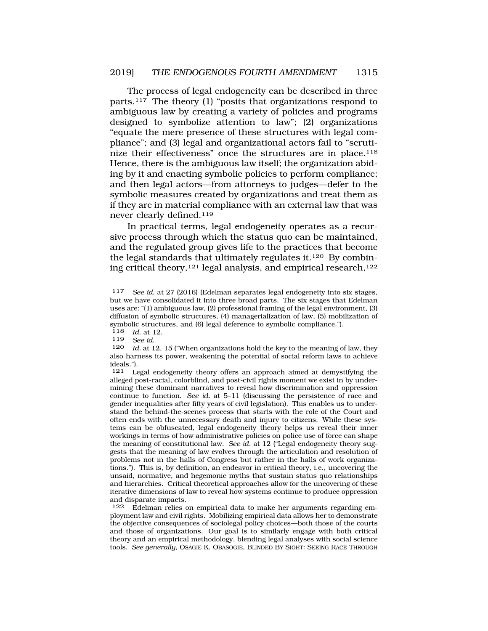The process of legal endogeneity can be described in three parts.117 The theory (1) "posits that organizations respond to ambiguous law by creating a variety of policies and programs designed to symbolize attention to law"; (2) organizations "equate the mere presence of these structures with legal compliance"; and (3) legal and organizational actors fail to "scrutinize their effectiveness" once the structures are in place.<sup>118</sup> Hence, there is the ambiguous law itself; the organization abiding by it and enacting symbolic policies to perform compliance; and then legal actors—from attorneys to judges—defer to the symbolic measures created by organizations and treat them as if they are in material compliance with an external law that was never clearly defined.119

In practical terms, legal endogeneity operates as a recursive process through which the status quo can be maintained, and the regulated group gives life to the practices that become the legal standards that ultimately regulates it.120 By combining critical theory,<sup>121</sup> legal analysis, and empirical research,<sup>122</sup>

<sup>117</sup> *See id.* at 27 (2016) (Edelman separates legal endogeneity into six stages, but we have consolidated it into three broad parts. The six stages that Edelman uses are: "(1) ambiguous law, (2) professional framing of the legal environment, (3) diffusion of symbolic structures, (4) managerialization of law, (5) mobilization of symbolic structures, and (6) legal deference to symbolic compliance.").<br> $\frac{118}{10}$  at 12

*Id.* at 12.

<sup>119</sup> *See id.* 

Id. at 12, 15 ("When organizations hold the key to the meaning of law, they also harness its power, weakening the potential of social reform laws to achieve ideals.").

<sup>121</sup> Legal endogeneity theory offers an approach aimed at demystifying the alleged post-racial, colorblind, and post-civil rights moment we exist in by undermining these dominant narratives to reveal how discrimination and oppression continue to function. *See id.* at 5–11 (discussing the persistence of race and gender inequalities after fifty years of civil legislation). This enables us to understand the behind-the-scenes process that starts with the role of the Court and often ends with the unnecessary death and injury to citizens. While these systems can be obfuscated, legal endogeneity theory helps us reveal their inner workings in terms of how administrative policies on police use of force can shape the meaning of constitutional law. *See id.* at 12 ("Legal endogeneity theory suggests that the meaning of law evolves through the articulation and resolution of problems not in the halls of Congress but rather in the halls of work organizations."). This is, by definition, an endeavor in critical theory, i.e., uncovering the unsaid, normative, and hegemonic myths that sustain status quo relationships and hierarchies. Critical theoretical approaches allow for the uncovering of these iterative dimensions of law to reveal how systems continue to produce oppression and disparate impacts.<br>122 Edelman relies

Edelman relies on empirical data to make her arguments regarding employment law and civil rights. Mobilizing empirical data allows her to demonstrate the objective consequences of sociolegal policy choices—both those of the courts and those of organizations. Our goal is to similarly engage with both critical theory and an empirical methodology, blending legal analyses with social science tools. *See generally*, OSAGIE K. OBASOGIE, BLINDED BY SIGHT: SEEING RACE THROUGH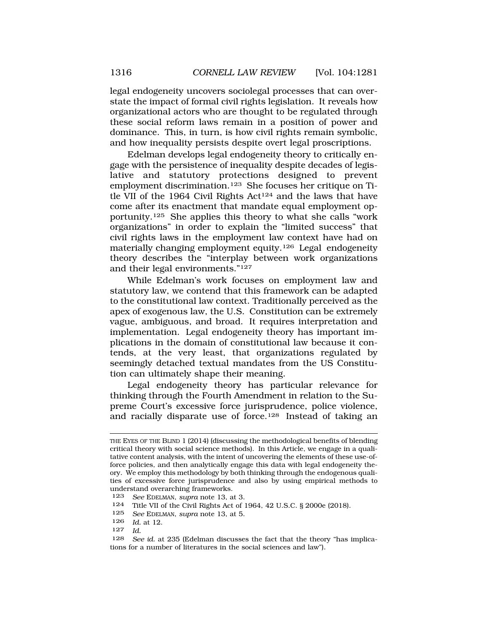legal endogeneity uncovers sociolegal processes that can overstate the impact of formal civil rights legislation. It reveals how organizational actors who are thought to be regulated through these social reform laws remain in a position of power and dominance. This, in turn, is how civil rights remain symbolic, and how inequality persists despite overt legal proscriptions.

Edelman develops legal endogeneity theory to critically engage with the persistence of inequality despite decades of legislative and statutory protections designed to prevent employment discrimination.123 She focuses her critique on Title VII of the 1964 Civil Rights Act<sup>124</sup> and the laws that have come after its enactment that mandate equal employment opportunity.125 She applies this theory to what she calls "work organizations" in order to explain the "limited success" that civil rights laws in the employment law context have had on materially changing employment equity.126 Legal endogeneity theory describes the "interplay between work organizations and their legal environments."127

While Edelman's work focuses on employment law and statutory law, we contend that this framework can be adapted to the constitutional law context. Traditionally perceived as the apex of exogenous law, the U.S. Constitution can be extremely vague, ambiguous, and broad. It requires interpretation and implementation. Legal endogeneity theory has important implications in the domain of constitutional law because it contends, at the very least, that organizations regulated by seemingly detached textual mandates from the US Constitution can ultimately shape their meaning.

Legal endogeneity theory has particular relevance for thinking through the Fourth Amendment in relation to the Supreme Court's excessive force jurisprudence, police violence, and racially disparate use of force.128 Instead of taking an

THE EYES OF THE BLIND 1 (2014) (discussing the methodological benefits of blending critical theory with social science methods). In this Article, we engage in a qualitative content analysis, with the intent of uncovering the elements of these use-offorce policies, and then analytically engage this data with legal endogeneity theory. We employ this methodology by both thinking through the endogenous qualities of excessive force jurisprudence and also by using empirical methods to understand overarching frameworks.

<sup>123</sup> *See* EDELMAN, *supra* note 13, at 3.

<sup>124</sup> Title VII of the Civil Rights Act of 1964, 42 U.S.C. § 2000e (2018).

<sup>125</sup> *See* EDELMAN, *supra* note 13, at 5.

<sup>126</sup> *Id.* at 12.

<sup>127</sup> *Id.* 

<sup>128</sup> *See id.* at 235 (Edelman discusses the fact that the theory "has implications for a number of literatures in the social sciences and law").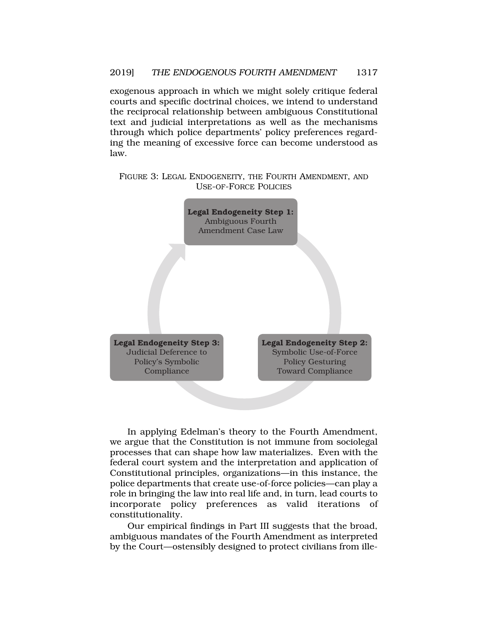exogenous approach in which we might solely critique federal courts and specific doctrinal choices, we intend to understand the reciprocal relationship between ambiguous Constitutional text and judicial interpretations as well as the mechanisms through which police departments' policy preferences regarding the meaning of excessive force can become understood as law.

FIGURE 3: LEGAL ENDOGENEITY, THE FOURTH AMENDMENT, AND USE-OF-FORCE POLICIES



In applying Edelman's theory to the Fourth Amendment, we argue that the Constitution is not immune from sociolegal processes that can shape how law materializes. Even with the federal court system and the interpretation and application of Constitutional principles, organizations—in this instance, the police departments that create use-of-force policies—can play a role in bringing the law into real life and, in turn, lead courts to incorporate policy preferences as valid iterations of constitutionality.

Our empirical findings in Part III suggests that the broad, ambiguous mandates of the Fourth Amendment as interpreted by the Court—ostensibly designed to protect civilians from ille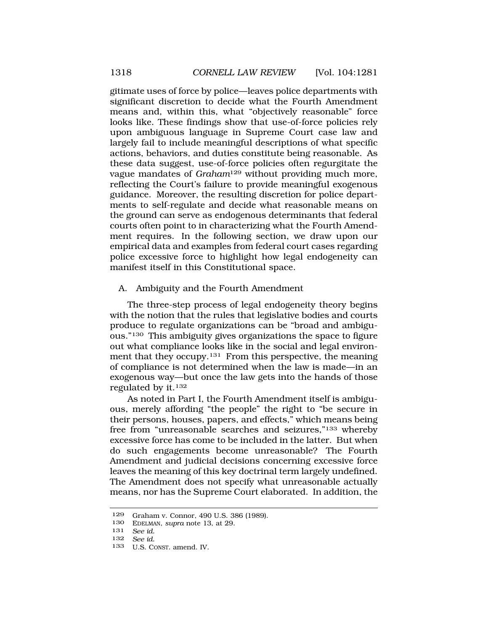<span id="page-37-0"></span>gitimate uses of force by police—leaves police departments with significant discretion to decide what the Fourth Amendment means and, within this, what "objectively reasonable" force looks like. These findings show that use-of-force policies rely upon ambiguous language in Supreme Court case law and largely fail to include meaningful descriptions of what specific actions, behaviors, and duties constitute being reasonable. As these data suggest, use-of-force policies often regurgitate the vague mandates of *Graham*129 without providing much more, reflecting the Court's failure to provide meaningful exogenous guidance. Moreover, the resulting discretion for police departments to self-regulate and decide what reasonable means on the ground can serve as endogenous determinants that federal courts often point to in characterizing what the Fourth Amendment requires. In the following section, we draw upon our empirical data and examples from federal court cases regarding police excessive force to highlight how legal endogeneity can manifest itself in this Constitutional space.

### A. Ambiguity and the Fourth Amendment

The three-step process of legal endogeneity theory begins with the notion that the rules that legislative bodies and courts produce to regulate organizations can be "broad and ambiguous."130 This ambiguity gives organizations the space to figure out what compliance looks like in the social and legal environment that they occupy.<sup>131</sup> From this perspective, the meaning of compliance is not determined when the law is made—in an exogenous way—but once the law gets into the hands of those regulated by it.132

As noted in Part I, the Fourth Amendment itself is ambiguous, merely affording "the people" the right to "be secure in their persons, houses, papers, and effects," which means being free from "unreasonable searches and seizures,"133 whereby excessive force has come to be included in the latter. But when do such engagements become unreasonable? The Fourth Amendment and judicial decisions concerning excessive force leaves the meaning of this key doctrinal term largely undefined. The Amendment does not specify what unreasonable actually means, nor has the Supreme Court elaborated. In addition, the

<sup>129</sup> Graham v. Connor, 490 U.S. 386 (1989).

<sup>130</sup> EDELMAN, *supra* note 13, at 29.

<sup>131</sup> *See id.* 

<sup>132</sup> *See id.* 

<sup>133</sup> U.S. CONST. amend. IV.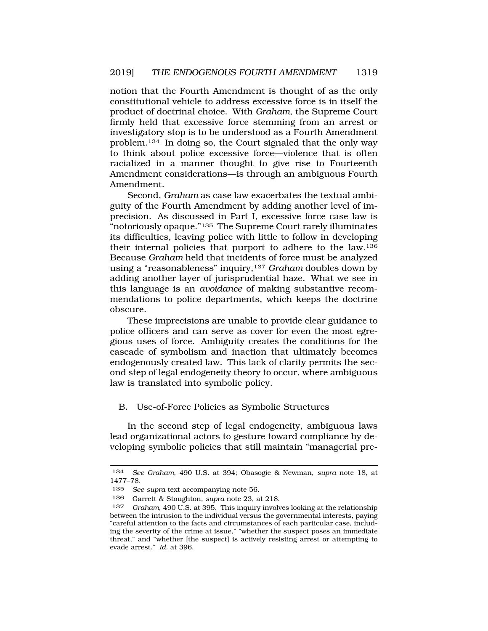<span id="page-38-0"></span>notion that the Fourth Amendment is thought of as the only constitutional vehicle to address excessive force is in itself the product of doctrinal choice. With *Graham*, the Supreme Court firmly held that excessive force stemming from an arrest or investigatory stop is to be understood as a Fourth Amendment problem.134 In doing so, the Court signaled that the only way to think about police excessive force—violence that is often racialized in a manner thought to give rise to Fourteenth Amendment considerations—is through an ambiguous Fourth Amendment.

Second, *Graham* as case law exacerbates the textual ambiguity of the Fourth Amendment by adding another level of imprecision. As discussed in Part I, excessive force case law is "notoriously opaque."135 The Supreme Court rarely illuminates its difficulties, leaving police with little to follow in developing their internal policies that purport to adhere to the law.136 Because *Graham* held that incidents of force must be analyzed using a "reasonableness" inquiry,137 *Graham* doubles down by adding another layer of jurisprudential haze. What we see in this language is an *avoidance* of making substantive recommendations to police departments, which keeps the doctrine obscure.

These imprecisions are unable to provide clear guidance to police officers and can serve as cover for even the most egregious uses of force. Ambiguity creates the conditions for the cascade of symbolism and inaction that ultimately becomes endogenously created law. This lack of clarity permits the second step of legal endogeneity theory to occur, where ambiguous law is translated into symbolic policy.

## B. Use-of-Force Policies as Symbolic Structures

In the second step of legal endogeneity, ambiguous laws lead organizational actors to gesture toward compliance by developing symbolic policies that still maintain "managerial pre-

<sup>134</sup> *See Graham*, 490 U.S. at 394; Obasogie & Newman, *supra* note 18, at 1477–78.

<sup>135</sup> *See supra* text accompanying note 56.

<sup>136</sup> Garrett & Stoughton, *supra* note 23, at 218.

<sup>137</sup> *Graham*, 490 U.S. at 395. This inquiry involves looking at the relationship between the intrusion to the individual versus the governmental interests, paying "careful attention to the facts and circumstances of each particular case, including the severity of the crime at issue," "whether the suspect poses an immediate threat," and "whether [the suspect] is actively resisting arrest or attempting to evade arrest." *Id.* at 396.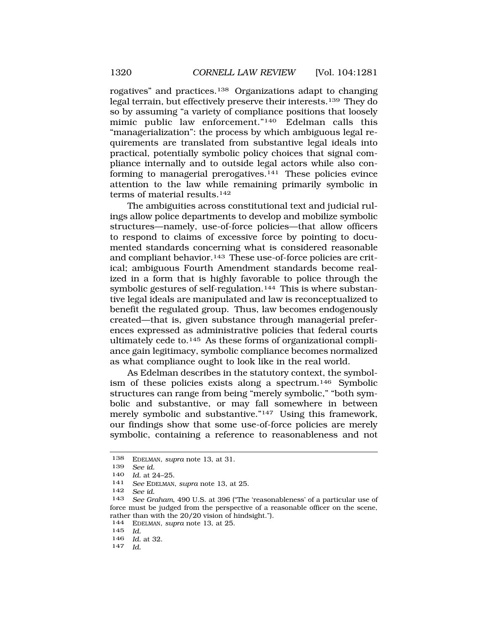rogatives" and practices.138 Organizations adapt to changing legal terrain, but effectively preserve their interests.139 They do so by assuming "a variety of compliance positions that loosely mimic public law enforcement."140 Edelman calls this "managerialization": the process by which ambiguous legal requirements are translated from substantive legal ideals into practical, potentially symbolic policy choices that signal compliance internally and to outside legal actors while also conforming to managerial prerogatives.<sup>141</sup> These policies evince attention to the law while remaining primarily symbolic in terms of material results.<sup>142</sup>

The ambiguities across constitutional text and judicial rulings allow police departments to develop and mobilize symbolic structures—namely, use-of-force policies—that allow officers to respond to claims of excessive force by pointing to documented standards concerning what is considered reasonable and compliant behavior.<sup>143</sup> These use-of-force policies are critical; ambiguous Fourth Amendment standards become realized in a form that is highly favorable to police through the symbolic gestures of self-regulation.<sup>144</sup> This is where substantive legal ideals are manipulated and law is reconceptualized to benefit the regulated group. Thus, law becomes endogenously created—that is, given substance through managerial preferences expressed as administrative policies that federal courts ultimately cede to.145 As these forms of organizational compliance gain legitimacy, symbolic compliance becomes normalized as what compliance ought to look like in the real world.

As Edelman describes in the statutory context, the symbolism of these policies exists along a spectrum.146 Symbolic structures can range from being "merely symbolic," "both symbolic and substantive, or may fall somewhere in between merely symbolic and substantive."<sup>147</sup> Using this framework, our findings show that some use-of-force policies are merely symbolic, containing a reference to reasonableness and not

<sup>138</sup> EDELMAN, *supra* note 13, at 31.

<sup>139</sup> *See id.* 

<sup>140</sup>*Id.* at 24–25. 141 *See* EDELMAN, *supra* note 13, at 25.

<sup>142</sup> *See id.* 

See Graham, 490 U.S. at 396 ("The 'reasonableness' of a particular use of force must be judged from the perspective of a reasonable officer on the scene, rather than with the  $20/20$  vision of hindsight.").<br>144 EDELMAN, supra note 13, at 25

<sup>144</sup> EDELMAN, *supra* note 13, at 25.

<sup>145</sup> *Id.* 

<sup>146</sup>*Id.* at 32. 147 *Id.*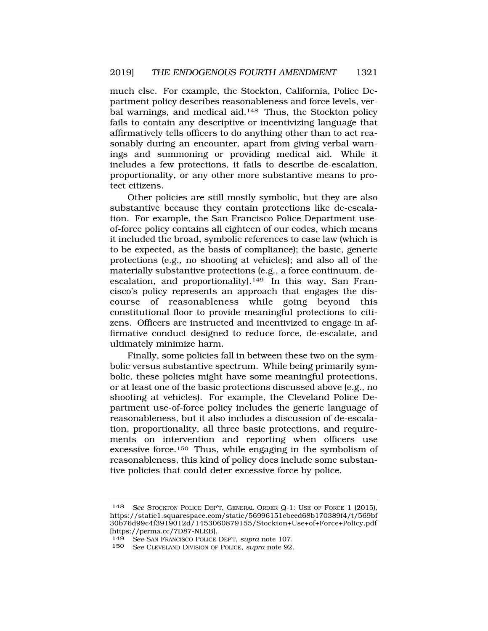much else. For example, the Stockton, California, Police Department policy describes reasonableness and force levels, verbal warnings, and medical aid.<sup>148</sup> Thus, the Stockton policy fails to contain any descriptive or incentivizing language that affirmatively tells officers to do anything other than to act reasonably during an encounter, apart from giving verbal warnings and summoning or providing medical aid. While it includes a few protections, it fails to describe de-escalation, proportionality, or any other more substantive means to protect citizens.

Other policies are still mostly symbolic, but they are also substantive because they contain protections like de-escalation. For example, the San Francisco Police Department useof-force policy contains all eighteen of our codes, which means it included the broad, symbolic references to case law (which is to be expected, as the basis of compliance); the basic, generic protections (e.g*.*, no shooting at vehicles); and also all of the materially substantive protections (e.g., a force continuum, deescalation, and proportionality).<sup>149</sup> In this way, San Francisco's policy represents an approach that engages the discourse of reasonableness while going beyond this constitutional floor to provide meaningful protections to citizens. Officers are instructed and incentivized to engage in affirmative conduct designed to reduce force, de-escalate, and ultimately minimize harm.

Finally, some policies fall in between these two on the symbolic versus substantive spectrum. While being primarily symbolic, these policies might have some meaningful protections, or at least one of the basic protections discussed above (e.g., no shooting at vehicles). For example, the Cleveland Police Department use-of-force policy includes the generic language of reasonableness, but it also includes a discussion of de-escalation, proportionality, all three basic protections, and requirements on intervention and reporting when officers use excessive force.150 Thus, while engaging in the symbolism of reasonableness, this kind of policy does include some substantive policies that could deter excessive force by police.

<sup>148</sup> *See* STOCKTON POLICE DEP'T, GENERAL ORDER Q-1: USE OF FORCE 1 (2015), https://static1.squarespace.com/static/56996151cbced68b170389f4/t/569bf 30b76d99c4f3919012d/1453060879155/Stockton+Use+of+Force+Policy.pdf [https://perma.cc/7D87-NLEB].

<sup>149</sup> *See* SAN FRANCISCO POLICE DEP'T, *supra* note 107.

See CLEVELAND DIVISION OF POLICE, *supra* note 92.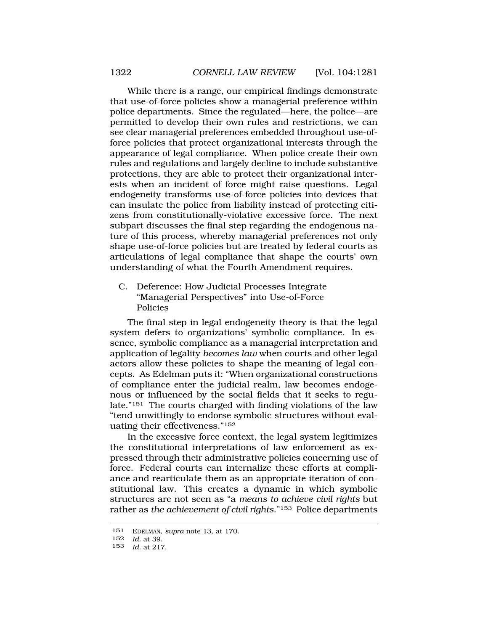<span id="page-41-0"></span>While there is a range, our empirical findings demonstrate that use-of-force policies show a managerial preference within police departments. Since the regulated—here, the police—are permitted to develop their own rules and restrictions, we can see clear managerial preferences embedded throughout use-offorce policies that protect organizational interests through the appearance of legal compliance. When police create their own rules and regulations and largely decline to include substantive protections, they are able to protect their organizational interests when an incident of force might raise questions. Legal endogeneity transforms use-of-force policies into devices that can insulate the police from liability instead of protecting citizens from constitutionally-violative excessive force. The next subpart discusses the final step regarding the endogenous nature of this process, whereby managerial preferences not only shape use-of-force policies but are treated by federal courts as articulations of legal compliance that shape the courts' own understanding of what the Fourth Amendment requires.

C. Deference: How Judicial Processes Integrate "Managerial Perspectives" into Use-of-Force Policies

The final step in legal endogeneity theory is that the legal system defers to organizations' symbolic compliance. In essence, symbolic compliance as a managerial interpretation and application of legality *becomes law* when courts and other legal actors allow these policies to shape the meaning of legal concepts. As Edelman puts it: "When organizational constructions of compliance enter the judicial realm, law becomes endogenous or influenced by the social fields that it seeks to regulate."151 The courts charged with finding violations of the law "tend unwittingly to endorse symbolic structures without evaluating their effectiveness."152

In the excessive force context, the legal system legitimizes the constitutional interpretations of law enforcement as expressed through their administrative policies concerning use of force. Federal courts can internalize these efforts at compliance and rearticulate them as an appropriate iteration of constitutional law. This creates a dynamic in which symbolic structures are not seen as "a *means to achieve civil rights* but rather as *the achievement of civil rights*."153 Police departments

<sup>151</sup> EDELMAN, *supra* note 13, at 170.

<sup>152</sup> *Id.* at 39.

<sup>153</sup> *Id.* at 217.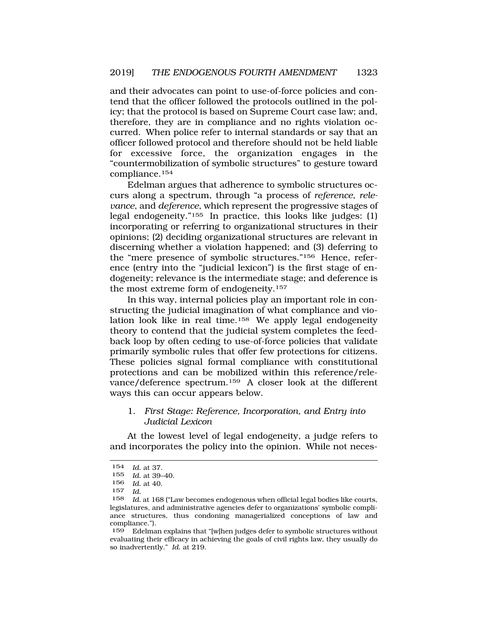<span id="page-42-0"></span>and their advocates can point to use-of-force policies and contend that the officer followed the protocols outlined in the policy; that the protocol is based on Supreme Court case law; and, therefore, they are in compliance and no rights violation occurred. When police refer to internal standards or say that an officer followed protocol and therefore should not be held liable for excessive force, the organization engages in the "countermobilization of symbolic structures" to gesture toward compliance.154

Edelman argues that adherence to symbolic structures occurs along a spectrum, through "a process of *reference*, *relevance*, and *deference*, which represent the progressive stages of legal endogeneity."155 In practice, this looks like judges: (1) incorporating or referring to organizational structures in their opinions; (2) deciding organizational structures are relevant in discerning whether a violation happened; and (3) deferring to the "mere presence of symbolic structures."156 Hence, reference (entry into the "judicial lexicon") is the first stage of endogeneity; relevance is the intermediate stage; and deference is the most extreme form of endogeneity.157

In this way, internal policies play an important role in constructing the judicial imagination of what compliance and violation look like in real time.<sup>158</sup> We apply legal endogeneity theory to contend that the judicial system completes the feedback loop by often ceding to use-of-force policies that validate primarily symbolic rules that offer few protections for citizens. These policies signal formal compliance with constitutional protections and can be mobilized within this reference/relevance/deference spectrum.159 A closer look at the different ways this can occur appears below.

## 1. *First Stage: Reference, Incorporation, and Entry into Judicial Lexicon*

At the lowest level of legal endogeneity, a judge refers to and incorporates the policy into the opinion. While not neces-

<sup>154</sup> *Id.* at 37.

Id. at 39-40.

<sup>156</sup> *Id.* at 40.

<sup>157</sup> *Id.* 

Id. at 168 ("Law becomes endogenous when official legal bodies like courts, legislatures, and administrative agencies defer to organizations' symbolic compliance structures, thus condoning managerialized conceptions of law and compliance.").

<sup>159</sup> Edelman explains that "[w]hen judges defer to symbolic structures without evaluating their efficacy in achieving the goals of civil rights law, they usually do so inadvertently." *Id.* at 219.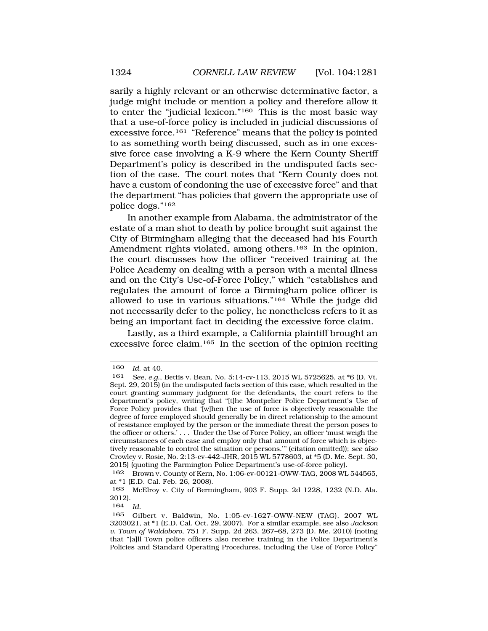sarily a highly relevant or an otherwise determinative factor, a judge might include or mention a policy and therefore allow it to enter the "judicial lexicon."160 This is the most basic way that a use-of-force policy is included in judicial discussions of excessive force.161 "Reference" means that the policy is pointed to as something worth being discussed, such as in one excessive force case involving a K-9 where the Kern County Sheriff Department's policy is described in the undisputed facts section of the case. The court notes that "Kern County does not have a custom of condoning the use of excessive force" and that the department "has policies that govern the appropriate use of police dogs."162

In another example from Alabama, the administrator of the estate of a man shot to death by police brought suit against the City of Birmingham alleging that the deceased had his Fourth Amendment rights violated, among others.<sup>163</sup> In the opinion, the court discusses how the officer "received training at the Police Academy on dealing with a person with a mental illness and on the City's Use-of-Force Policy," which "establishes and regulates the amount of force a Birmingham police officer is allowed to use in various situations."164 While the judge did not necessarily defer to the policy, he nonetheless refers to it as being an important fact in deciding the excessive force claim.

Lastly, as a third example, a California plaintiff brought an excessive force claim.165 In the section of the opinion reciting

<sup>160</sup> *Id.* at 40.<br>161 *See e a* 

<sup>161</sup> *See, e.g.*, Bettis v. Bean, No. 5:14-cv-113, 2015 WL 5725625, at \*6 (D. Vt. Sept. 29, 2015) (in the undisputed facts section of this case, which resulted in the court granting summary judgment for the defendants, the court refers to the department's policy, writing that "[t]he Montpelier Police Department's Use of Force Policy provides that '[w]hen the use of force is objectively reasonable the degree of force employed should generally be in direct relationship to the amount of resistance employed by the person or the immediate threat the person poses to the officer or others.' . . . Under the Use of Force Policy, an officer 'must weigh the circumstances of each case and employ only that amount of force which is objectively reasonable to control the situation or persons.'" (citation omitted)); *see also*  Crowley v. Rosie, No. 2:13-cv-442-JHR, 2015 WL 5778603, at \*5 (D. Me. Sept. 30, 2015) (quoting the Farmington Police Department's use-of-force policy).

<sup>162</sup> Brown v. County of Kern, No. 1:06-cv-00121-OWW-TAG, 2008 WL 544565, at \*1 (E.D. Cal. Feb. 26, 2008).

<sup>163</sup> McElroy v. City of Bermingham, 903 F. Supp. 2d 1228, 1232 (N.D. Ala. 2012).

<sup>164</sup> *Id.* 

<sup>165</sup> Gilbert v. Baldwin, No. 1:05-cv-1627-OWW-NEW (TAG), 2007 WL 3203021, at \*1 (E.D. Cal. Oct. 29, 2007). For a similar example, see also *Jackson v. Town of Waldoboro*, 751 F. Supp. 2d 263, 267–68, 273 (D. Me. 2010) (noting that "[a]ll Town police officers also receive training in the Police Department's Policies and Standard Operating Procedures, including the Use of Force Policy"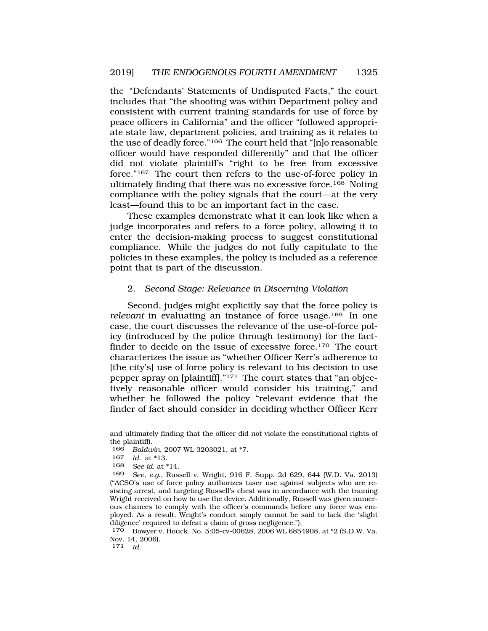<span id="page-44-0"></span>the "Defendants' Statements of Undisputed Facts," the court includes that "the shooting was within Department policy and consistent with current training standards for use of force by peace officers in California" and the officer "followed appropriate state law, department policies, and training as it relates to the use of deadly force."166 The court held that "[n]o reasonable officer would have responded differently" and that the officer did not violate plaintiff's "right to be free from excessive force."167 The court then refers to the use-of-force policy in ultimately finding that there was no excessive force.<sup>168</sup> Noting compliance with the policy signals that the court—at the very least—found this to be an important fact in the case.

These examples demonstrate what it can look like when a judge incorporates and refers to a force policy, allowing it to enter the decision-making process to suggest constitutional compliance. While the judges do not fully capitulate to the policies in these examples, the policy is included as a reference point that is part of the discussion.

### 2. *Second Stage: Relevance in Discerning Violation*

Second, judges might explicitly say that the force policy is *relevant* in evaluating an instance of force usage.169 In one case, the court discusses the relevance of the use-of-force policy (introduced by the police through testimony) for the factfinder to decide on the issue of excessive force.<sup>170</sup> The court characterizes the issue as "whether Officer Kerr's adherence to [the city's] use of force policy is relevant to his decision to use pepper spray on [plaintiff]."171 The court states that "an objectively reasonable officer would consider his training," and whether he followed the policy "relevant evidence that the finder of fact should consider in deciding whether Officer Kerr

and ultimately finding that the officer did not violate the constitutional rights of the plaintiff).<br> $166$  Baldu

<sup>166</sup> *Baldwin*, 2007 WL 3203021, at \*7.

<sup>167</sup> *Id.* at \*13.

<sup>168</sup> *See id.* at \*14.

<sup>169</sup> *See, e.g.*, Russell v. Wright, 916 F. Supp. 2d 629, 644 (W.D. Va. 2013) ("ACSO's use of force policy authorizes taser use against subjects who are resisting arrest, and targeting Russell's chest was in accordance with the training Wright received on how to use the device. Additionally, Russell was given numerous chances to comply with the officer's commands before any force was employed. As a result, Wright's conduct simply cannot be said to lack the 'slight diligence' required to defeat a claim of gross negligence.").

<sup>170</sup> Bowyer v. Houck, No. 5:05-cv-00628, 2006 WL 6854908, at \*2 (S.D.W. Va. Nov. 14, 2006).

<sup>171</sup> *Id.*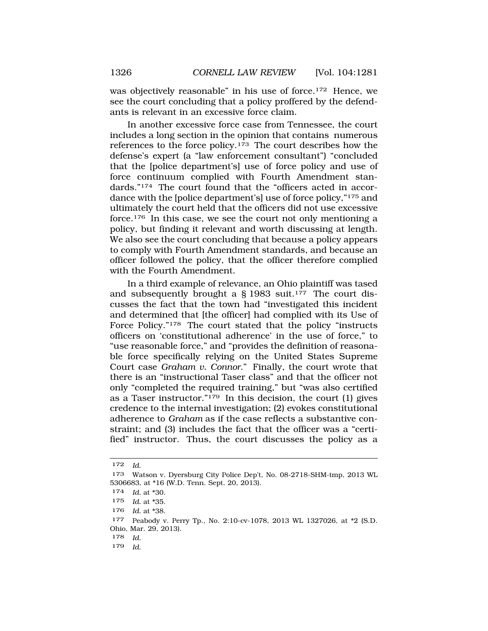was objectively reasonable" in his use of force.<sup>172</sup> Hence, we see the court concluding that a policy proffered by the defendants is relevant in an excessive force claim.

In another excessive force case from Tennessee, the court includes a long section in the opinion that contains numerous references to the force policy.<sup>173</sup> The court describes how the defense's expert (a "law enforcement consultant") "concluded that the [police department's] use of force policy and use of force continuum complied with Fourth Amendment standards."<sup>174</sup> The court found that the "officers acted in accordance with the [police department's] use of force policy,"175 and ultimately the court held that the officers did not use excessive force.176 In this case, we see the court not only mentioning a policy, but finding it relevant and worth discussing at length. We also see the court concluding that because a policy appears to comply with Fourth Amendment standards, and because an officer followed the policy, that the officer therefore complied with the Fourth Amendment.

In a third example of relevance, an Ohio plaintiff was tased and subsequently brought a  $\S$  1983 suit.<sup>177</sup> The court discusses the fact that the town had "investigated this incident and determined that [the officer] had complied with its Use of Force Policy."<sup>178</sup> The court stated that the policy "instructs" officers on 'constitutional adherence' in the use of force," to "use reasonable force," and "provides the definition of reasonable force specifically relying on the United States Supreme Court case *Graham v. Connor*." Finally, the court wrote that there is an "instructional Taser class" and that the officer not only "completed the required training," but "was also certified as a Taser instructor."179 In this decision, the court (1) gives credence to the internal investigation; (2) evokes constitutional adherence to *Graham* as if the case reflects a substantive constraint; and (3) includes the fact that the officer was a "certified" instructor. Thus, the court discusses the policy as a

179 *Id.* 

<sup>172</sup> *Id.* 

<sup>173</sup> Watson v. Dyersburg City Police Dep't, No. 08-2718-SHM-tmp, 2013 WL 5306683, at \*16 (W.D. Tenn. Sept. 20, 2013).

<sup>174</sup> *Id.* at \*30.

<sup>175</sup> *Id.* at \*35.

<sup>176</sup> *Id.* at \*38.

<sup>177</sup> Peabody v. Perry Tp., No. 2:10-cv-1078, 2013 WL 1327026, at \*2 (S.D. Ohio, Mar. 29, 2013).

<sup>178</sup> *Id.*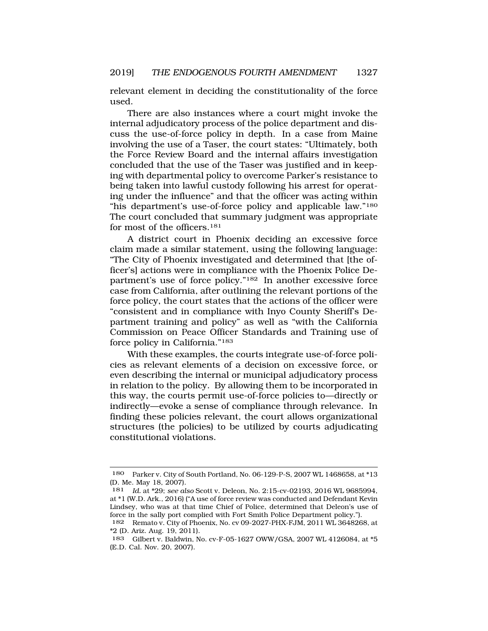relevant element in deciding the constitutionality of the force used.

There are also instances where a court might invoke the internal adjudicatory process of the police department and discuss the use-of-force policy in depth. In a case from Maine involving the use of a Taser, the court states: "Ultimately, both the Force Review Board and the internal affairs investigation concluded that the use of the Taser was justified and in keeping with departmental policy to overcome Parker's resistance to being taken into lawful custody following his arrest for operating under the influence" and that the officer was acting within "his department's use-of-force policy and applicable law."<sup>180</sup> The court concluded that summary judgment was appropriate for most of the officers.181

A district court in Phoenix deciding an excessive force claim made a similar statement, using the following language: "The City of Phoenix investigated and determined that [the officer's] actions were in compliance with the Phoenix Police Department's use of force policy."182 In another excessive force case from California, after outlining the relevant portions of the force policy, the court states that the actions of the officer were "consistent and in compliance with Inyo County Sheriff's Department training and policy" as well as "with the California Commission on Peace Officer Standards and Training use of force policy in California."183

With these examples, the courts integrate use-of-force policies as relevant elements of a decision on excessive force, or even describing the internal or municipal adjudicatory process in relation to the policy. By allowing them to be incorporated in this way, the courts permit use-of-force policies to—directly or indirectly—evoke a sense of compliance through relevance. In finding these policies relevant, the court allows organizational structures (the policies) to be utilized by courts adjudicating constitutional violations.

<sup>180</sup> Parker v. City of South Portland, No. 06-129-P-S, 2007 WL 1468658, at \*13 (D. Me. May 18, 2007).

<sup>181</sup> *Id.* at \*29; *see also* Scott v. Deleon, No. 2:15-cv-02193, 2016 WL 9685994, at \*1 (W.D. Ark., 2016) ("A use of force review was conducted and Defendant Kevin Lindsey, who was at that time Chief of Police, determined that Deleon's use of force in the sally port complied with Fort Smith Police Department policy.").

<sup>182</sup> Remato v. City of Phoenix, No. cv 09-2027-PHX-FJM, 2011 WL 3648268, at \*2 (D. Ariz. Aug. 19, 2011).

<sup>183</sup> Gilbert v. Baldwin, No. cv-F-05-1627 OWW/GSA, 2007 WL 4126084, at \*5 (E.D. Cal. Nov. 20, 2007).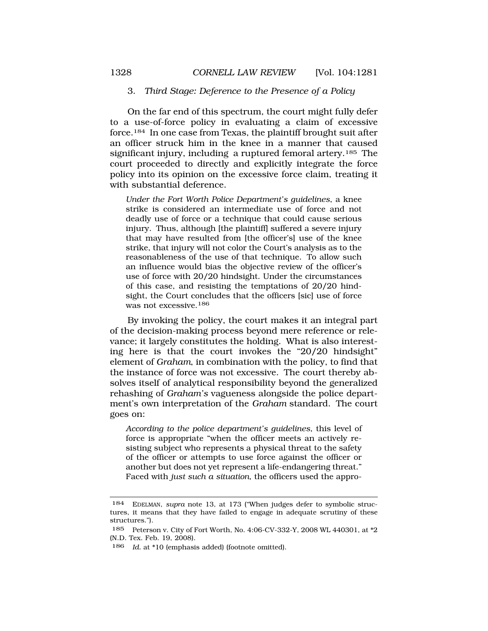#### <span id="page-47-0"></span>3. *Third Stage: Deference to the Presence of a Policy*

On the far end of this spectrum, the court might fully defer to a use-of-force policy in evaluating a claim of excessive force.184 In one case from Texas, the plaintiff brought suit after an officer struck him in the knee in a manner that caused significant injury, including a ruptured femoral artery.185 The court proceeded to directly and explicitly integrate the force policy into its opinion on the excessive force claim, treating it with substantial deference.

*Under the Fort Worth Police Department's guidelines*, a knee strike is considered an intermediate use of force and not deadly use of force or a technique that could cause serious injury. Thus, although [the plaintiff] suffered a severe injury that may have resulted from [the officer's] use of the knee strike, that injury will not color the Court's analysis as to the reasonableness of the use of that technique. To allow such an influence would bias the objective review of the officer's use of force with 20/20 hindsight. Under the circumstances of this case, and resisting the temptations of 20/20 hindsight, the Court concludes that the officers [sic] use of force was not excessive.186

By invoking the policy, the court makes it an integral part of the decision-making process beyond mere reference or relevance; it largely constitutes the holding. What is also interesting here is that the court invokes the "20/20 hindsight" element of *Graham*, in combination with the policy, to find that the instance of force was not excessive. The court thereby absolves itself of analytical responsibility beyond the generalized rehashing of *Graham's* vagueness alongside the police department's own interpretation of the *Graham* standard. The court goes on:

*According to the police department's guidelines*, this level of force is appropriate "when the officer meets an actively resisting subject who represents a physical threat to the safety of the officer or attempts to use force against the officer or another but does not yet represent a life-endangering threat." Faced with *just such a situation*, the officers used the appro-

<sup>184</sup> EDELMAN, *supra* note 13, at 173 ("When judges defer to symbolic structures, it means that they have failed to engage in adequate scrutiny of these structures.").

<sup>185</sup> Peterson v. City of Fort Worth, No. 4:06-CV-332-Y, 2008 WL 440301, at \*2 (N.D. Tex. Feb. 19, 2008).

<sup>186</sup> *Id.* at \*10 (emphasis added) (footnote omitted).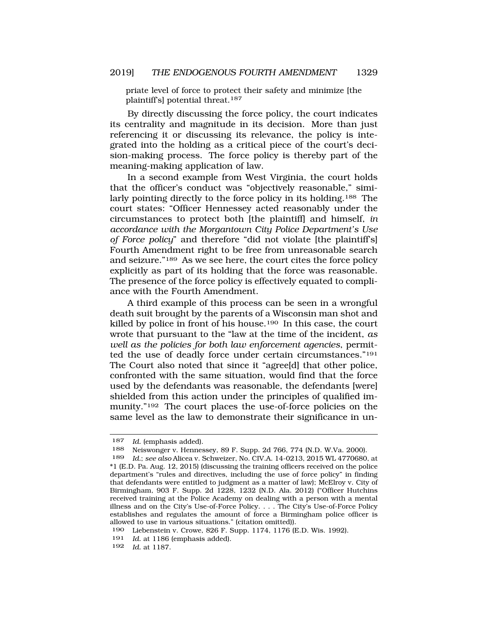priate level of force to protect their safety and minimize [the plaintiff's] potential threat.187

By directly discussing the force policy, the court indicates its centrality and magnitude in its decision. More than just referencing it or discussing its relevance, the policy is integrated into the holding as a critical piece of the court's decision-making process. The force policy is thereby part of the meaning-making application of law.

In a second example from West Virginia, the court holds that the officer's conduct was "objectively reasonable," similarly pointing directly to the force policy in its holding.188 The court states: "Officer Hennessey acted reasonably under the circumstances to protect both [the plaintiff] and himself, *in accordance with the Morgantown City Police Department's Use of Force policy*" and therefore "did not violate [the plaintiff's] Fourth Amendment right to be free from unreasonable search and seizure."189 As we see here, the court cites the force policy explicitly as part of its holding that the force was reasonable. The presence of the force policy is effectively equated to compliance with the Fourth Amendment.

A third example of this process can be seen in a wrongful death suit brought by the parents of a Wisconsin man shot and killed by police in front of his house.190 In this case, the court wrote that pursuant to the "law at the time of the incident, *as well as the policies for both law enforcement agencies*, permitted the use of deadly force under certain circumstances."191 The Court also noted that since it "agree[d] that other police, confronted with the same situation, would find that the force used by the defendants was reasonable, the defendants [were] shielded from this action under the principles of qualified immunity."192 The court places the use-of-force policies on the same level as the law to demonstrate their significance in un-

<sup>187</sup> *Id.* (emphasis added).

<sup>188</sup> Neiswonger v. Hennessey, 89 F. Supp. 2d 766, 774 (N.D. W.Va. 2000).

<sup>189</sup> *Id.*; *see also* Alicea v. Schweizer, No. CIV.A. 14-0213, 2015 WL 4770680, at \*1 (E.D. Pa. Aug. 12, 2015) (discussing the training officers received on the police department's "rules and directives, including the use of force policy" in finding that defendants were entitled to judgment as a matter of law); McElroy v. City of Birmingham, 903 F. Supp. 2d 1228, 1232 (N.D. Ala. 2012) ("Officer Hutchins received training at the Police Academy on dealing with a person with a mental illness and on the City's Use-of-Force Policy. . . . The City's Use-of-Force Policy establishes and regulates the amount of force a Birmingham police officer is allowed to use in various situations." (citation omitted)).

<sup>190</sup> Liebenstein v. Crowe, 826 F. Supp. 1174, 1176 (E.D. Wis. 1992).

<sup>191</sup> *Id.* at 1186 (emphasis added).

<sup>192</sup> *Id.* at 1187.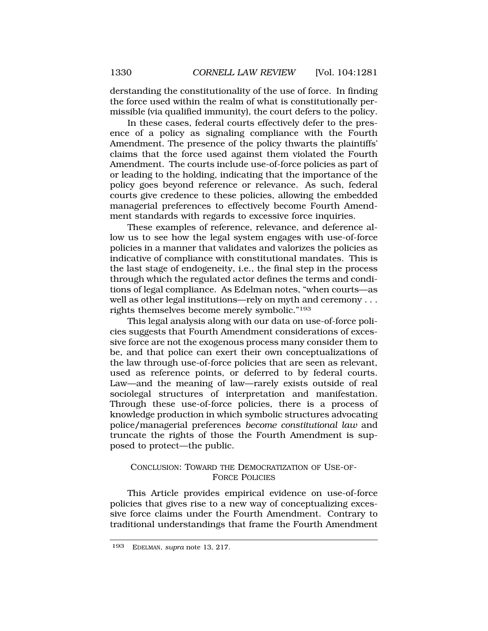<span id="page-49-0"></span>derstanding the constitutionality of the use of force. In finding the force used within the realm of what is constitutionally permissible (via qualified immunity), the court defers to the policy.

In these cases, federal courts effectively defer to the presence of a policy as signaling compliance with the Fourth Amendment. The presence of the policy thwarts the plaintiffs' claims that the force used against them violated the Fourth Amendment. The courts include use-of-force policies as part of or leading to the holding, indicating that the importance of the policy goes beyond reference or relevance. As such, federal courts give credence to these policies, allowing the embedded managerial preferences to effectively become Fourth Amendment standards with regards to excessive force inquiries.

These examples of reference, relevance, and deference allow us to see how the legal system engages with use-of-force policies in a manner that validates and valorizes the policies as indicative of compliance with constitutional mandates. This is the last stage of endogeneity, i.e., the final step in the process through which the regulated actor defines the terms and conditions of legal compliance. As Edelman notes, "when courts—as well as other legal institutions—rely on myth and ceremony . . . rights themselves become merely symbolic."193

This legal analysis along with our data on use-of-force policies suggests that Fourth Amendment considerations of excessive force are not the exogenous process many consider them to be, and that police can exert their own conceptualizations of the law through use-of-force policies that are seen as relevant, used as reference points, or deferred to by federal courts. Law—and the meaning of law—rarely exists outside of real sociolegal structures of interpretation and manifestation. Through these use-of-force policies, there is a process of knowledge production in which symbolic structures advocating police/managerial preferences *become constitutional law* and truncate the rights of those the Fourth Amendment is supposed to protect—the public.

## CONCLUSION: TOWARD THE DEMOCRATIZATION OF USE-OF-FORCE POLICIES

This Article provides empirical evidence on use-of-force policies that gives rise to a new way of conceptualizing excessive force claims under the Fourth Amendment. Contrary to traditional understandings that frame the Fourth Amendment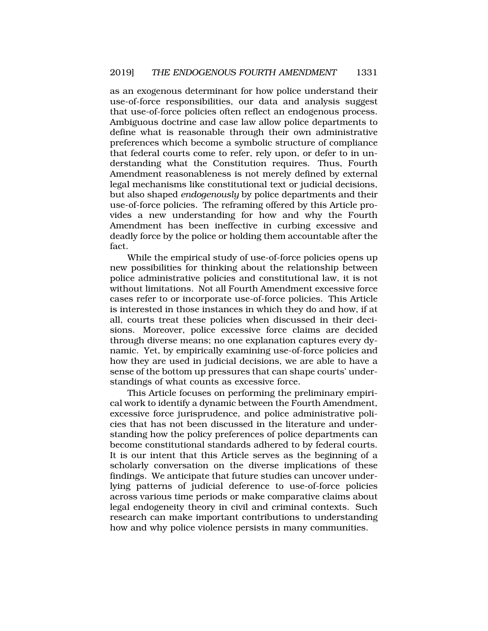as an exogenous determinant for how police understand their use-of-force responsibilities, our data and analysis suggest that use-of-force policies often reflect an endogenous process. Ambiguous doctrine and case law allow police departments to define what is reasonable through their own administrative preferences which become a symbolic structure of compliance that federal courts come to refer, rely upon, or defer to in understanding what the Constitution requires. Thus, Fourth Amendment reasonableness is not merely defined by external legal mechanisms like constitutional text or judicial decisions, but also shaped *endogenously* by police departments and their use-of-force policies. The reframing offered by this Article provides a new understanding for how and why the Fourth Amendment has been ineffective in curbing excessive and deadly force by the police or holding them accountable after the fact.

While the empirical study of use-of-force policies opens up new possibilities for thinking about the relationship between police administrative policies and constitutional law, it is not without limitations. Not all Fourth Amendment excessive force cases refer to or incorporate use-of-force policies. This Article is interested in those instances in which they do and how, if at all, courts treat these policies when discussed in their decisions. Moreover, police excessive force claims are decided through diverse means; no one explanation captures every dynamic. Yet, by empirically examining use-of-force policies and how they are used in judicial decisions, we are able to have a sense of the bottom up pressures that can shape courts' understandings of what counts as excessive force.

This Article focuses on performing the preliminary empirical work to identify a dynamic between the Fourth Amendment, excessive force jurisprudence, and police administrative policies that has not been discussed in the literature and understanding how the policy preferences of police departments can become constitutional standards adhered to by federal courts. It is our intent that this Article serves as the beginning of a scholarly conversation on the diverse implications of these findings. We anticipate that future studies can uncover underlying patterns of judicial deference to use-of-force policies across various time periods or make comparative claims about legal endogeneity theory in civil and criminal contexts. Such research can make important contributions to understanding how and why police violence persists in many communities.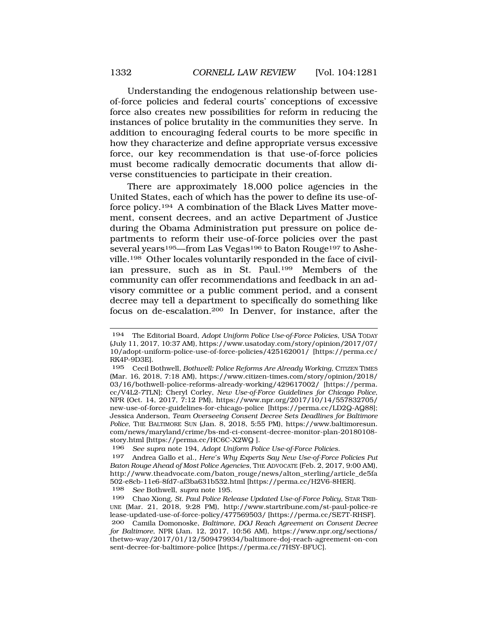Understanding the endogenous relationship between useof-force policies and federal courts' conceptions of excessive force also creates new possibilities for reform in reducing the instances of police brutality in the communities they serve. In addition to encouraging federal courts to be more specific in how they characterize and define appropriate versus excessive force, our key recommendation is that use-of-force policies must become radically democratic documents that allow diverse constituencies to participate in their creation.

There are approximately 18,000 police agencies in the United States, each of which has the power to define its use-offorce policy.194 A combination of the Black Lives Matter movement, consent decrees, and an active Department of Justice during the Obama Administration put pressure on police departments to reform their use-of-force policies over the past several years<sup>195</sup>—from Las Vegas<sup>196</sup> to Baton Rouge<sup>197</sup> to Asheville.198 Other locales voluntarily responded in the face of civilian pressure, such as in St. Paul.199 Members of the community can offer recommendations and feedback in an advisory committee or a public comment period, and a consent decree may tell a department to specifically do something like focus on de-escalation.200 In Denver, for instance, after the

196 *See supra* note 194, *Adopt Uniform Police Use-of-Force Policies*.

<sup>194</sup> The Editorial Board, *Adopt Uniform Police Use-of-Force Policies*, USA TODAY (July 11, 2017, 10:37 AM), https://www.usatoday.com/story/opinion/2017/07/ 10/adopt-uniform-police-use-of-force-policies/425162001/ [https://perma.cc/ RK4P-9D3E].

<sup>195</sup> Cecil Bothwell, *Bothwell: Police Reforms Are Already Working*, CITIZEN TIMES (Mar. 16, 2018, 7:18 AM), https://www.citizen-times.com/story/opinion/2018/ 03/16/bothwell-police-reforms-already-working/429617002/ [https://perma. cc/V4L2-7TLN]; Cheryl Corley, *New Use-of-Force Guidelines for Chicago Police*, NPR (Oct. 14, 2017, 7:12 PM), https://www.npr.org/2017/10/14/557832705/ new-use-of-force-guidelines-for-chicago-police [https://perma.cc/LD2Q-AQ88]; Jessica Anderson, *Team Overseeing Consent Decree Sets Deadlines for Baltimore Police*, THE BALTIMORE SUN (Jan. 8, 2018, 5:55 PM), https://www.baltimoresun. com/news/maryland/crime/bs-md-ci-consent-decree-monitor-plan-20180108 story.html [https://perma.cc/HC6C-X2WQ ].

<sup>197</sup> Andrea Gallo et al., *Here's Why Experts Say New Use-of-Force Policies Put Baton Rouge Ahead of Most Police Agencies*, THE ADVOCATE (Feb. 2, 2017, 9:00 AM), http://www.theadvocate.com/baton\_rouge/news/alton\_sterling/article\_de5fa 502-e8cb-11e6-8fd7-af3ba631b532.html [https://perma.cc/H2V6-8HER].<br><sup>198</sup> See Bothwell, supra note 195. 198 *See* Bothwell, *supra* note 195.

<sup>199</sup> Chao Xiong, *St. Paul Police Release Updated Use-of-Force Policy*, STAR TRIB-UNE (Mar. 21, 2018, 9:28 PM), http://www.startribune.com/st-paul-police-re lease-updated-use-of-force-policy/477569503/ [https://perma.cc/SE7T-RHSF].

<sup>200</sup> Camila Domonoske, *Baltimore, DOJ Reach Agreement on Consent Decree for Baltimore*, NPR (Jan. 12, 2017, 10:56 AM), https://www.npr.org/sections/ thetwo-way/2017/01/12/509479934/baltimore-doj-reach-agreement-on-con sent-decree-for-baltimore-police [https://perma.cc/7HSY-BFUC].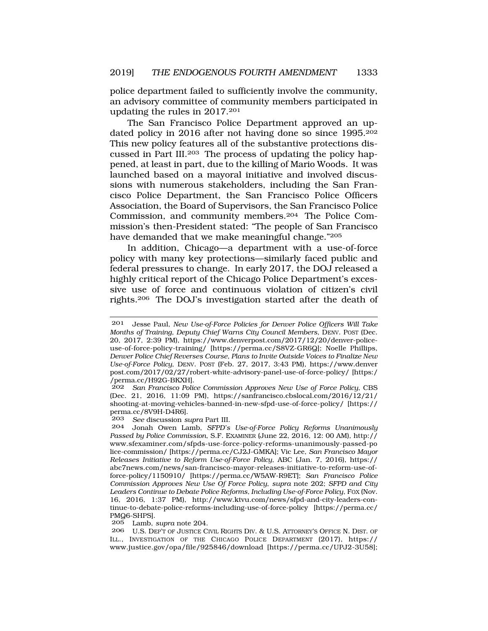police department failed to sufficiently involve the community, an advisory committee of community members participated in updating the rules in 2017.201

The San Francisco Police Department approved an updated policy in 2016 after not having done so since 1995.202 This new policy features all of the substantive protections discussed in Part III.203 The process of updating the policy happened, at least in part, due to the killing of Mario Woods. It was launched based on a mayoral initiative and involved discussions with numerous stakeholders, including the San Francisco Police Department, the San Francisco Police Officers Association, the Board of Supervisors, the San Francisco Police Commission, and community members.204 The Police Commission's then-President stated: "The people of San Francisco have demanded that we make meaningful change."205

In addition, Chicago—a department with a use-of-force policy with many key protections—similarly faced public and federal pressures to change. In early 2017, the DOJ released a highly critical report of the Chicago Police Department's excessive use of force and continuous violation of citizen's civil rights.206 The DOJ's investigation started after the death of

202 *San Francisco Police Commission Approves New Use of Force Policy*, CBS (Dec. 21, 2016, 11:09 PM), https://sanfrancisco.cbslocal.com/2016/12/21/ shooting-at-moving-vehicles-banned-in-new-sfpd-use-of-force-policy/ [https:// perma.cc/8V9H-D4R6].<br>203 See discussion si

203 *See* discussion *supra* Part III.

205 Lamb, *supra* note 204.

206 U.S. DEP'T OF JUSTICE CIVIL RIGHTS DIV. & U.S. ATTORNEY'S OFFICE N. DIST. OF ILL., INVESTIGATION OF THE CHICAGO POLICE DEPARTMENT (2017), https:// www.justice.gov/opa/file/925846/download [https://perma.cc/UPJ2-3U58];

<sup>201</sup> Jesse Paul, *New Use-of-Force Policies for Denver Police Officers Will Take Months of Training, Deputy Chief Warns City Council Members*, DENV. POST (Dec. 20, 2017, 2:39 PM), https://www.denverpost.com/2017/12/20/denver-policeuse-of-force-policy-training/ [https://perma.cc/S8VZ-GR6Q]; Noelle Phillips, *Denver Police Chief Reverses Course, Plans to Invite Outside Voices to Finalize New Use-of-Force Policy*, DENV. POST (Feb. 27, 2017, 3:43 PM), https://www.denver post.com/2017/02/27/robert-white-advisory-panel-use-of-force-policy/ [https:/ /perma.cc/H92G-BKXH].

<sup>204</sup> Jonah Owen Lamb, *SFPD's Use-of-Force Policy Reforms Unanimously Passed by Police Commission*, S.F. EXAMINER (June 22, 2016, 12: 00 AM), http:// www.sfexaminer.com/sfpds-use-force-policy-reforms-unanimously-passed-po lice-commission/ [https://perma.cc/CJ2J-GMKA]; Vic Lee, *San Francisco Mayor Releases Initiative to Reform Use-of-Force Policy*, ABC (Jan. 7, 2016), https:// abc7news.com/news/san-francisco-mayor-releases-initiative-to-reform-use-offorce-policy/1150910/ [https://perma.cc/W5AW-R9ET]; *San Francisco Police Commission Approves New Use Of Force Policy*, *supra* note 202; *SFPD and City Leaders Continue to Debate Police Reforms, Including Use-of-Force Policy*, FOX (Nov. 16, 2016, 1:37 PM), http://www.ktvu.com/news/sfpd-and-city-leaders-continue-to-debate-police-reforms-including-use-of-force-policy [https://perma.cc/ PMQ6-SHPS].<br>205 Lamb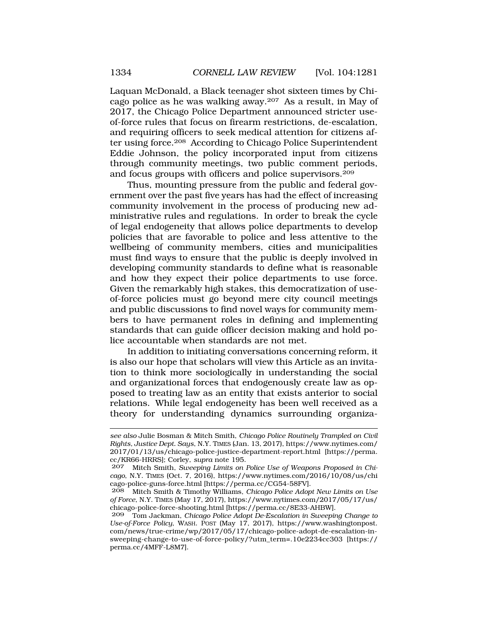Laquan McDonald, a Black teenager shot sixteen times by Chicago police as he was walking away.207 As a result, in May of 2017, the Chicago Police Department announced stricter useof-force rules that focus on firearm restrictions, de-escalation, and requiring officers to seek medical attention for citizens after using force.208 According to Chicago Police Superintendent Eddie Johnson, the policy incorporated input from citizens through community meetings, two public comment periods, and focus groups with officers and police supervisors.209

Thus, mounting pressure from the public and federal government over the past five years has had the effect of increasing community involvement in the process of producing new administrative rules and regulations. In order to break the cycle of legal endogeneity that allows police departments to develop policies that are favorable to police and less attentive to the wellbeing of community members, cities and municipalities must find ways to ensure that the public is deeply involved in developing community standards to define what is reasonable and how they expect their police departments to use force. Given the remarkably high stakes, this democratization of useof-force policies must go beyond mere city council meetings and public discussions to find novel ways for community members to have permanent roles in defining and implementing standards that can guide officer decision making and hold police accountable when standards are not met.

In addition to initiating conversations concerning reform, it is also our hope that scholars will view this Article as an invitation to think more sociologically in understanding the social and organizational forces that endogenously create law as opposed to treating law as an entity that exists anterior to social relations. While legal endogeneity has been well received as a theory for understanding dynamics surrounding organiza-

*see also* Julie Bosman & Mitch Smith, *Chicago Police Routinely Trampled on Civil Rights, Justice Dept. Says*, N.Y. TIMES (Jan. 13, 2017), https://www.nytimes.com/ 2017/01/13/us/chicago-police-justice-department-report.html [https://perma. cc/KR66-HRRS]; Corley, *supra* note 195.

<sup>207</sup> Mitch Smith, *Sweeping Limits on Police Use of Weapons Proposed in Chicago*, N.Y. TIMES (Oct. 7, 2016), https://www.nytimes.com/2016/10/08/us/chi cago-police-guns-force.html [https://perma.cc/CG54-58FV].

<sup>208</sup> Mitch Smith & Timothy Williams, *Chicago Police Adopt New Limits on Use of Force*, N.Y. TIMES (May 17, 2017), https://www.nytimes.com/2017/05/17/us/ chicago-police-force-shooting.html [https://perma.cc/8E33-AHBW].

<sup>209</sup> Tom Jackman, *Chicago Police Adopt De-Escalation in Sweeping Change to Use-of-Force Policy*, WASH. POST (May 17, 2017), https://www.washingtonpost. com/news/true-crime/wp/2017/05/17/chicago-police-adopt-de-escalation-insweeping-change-to-use-of-force-policy/?utm\_term=.10e2234cc303 [https:// perma.cc/4MFF-L8M7].